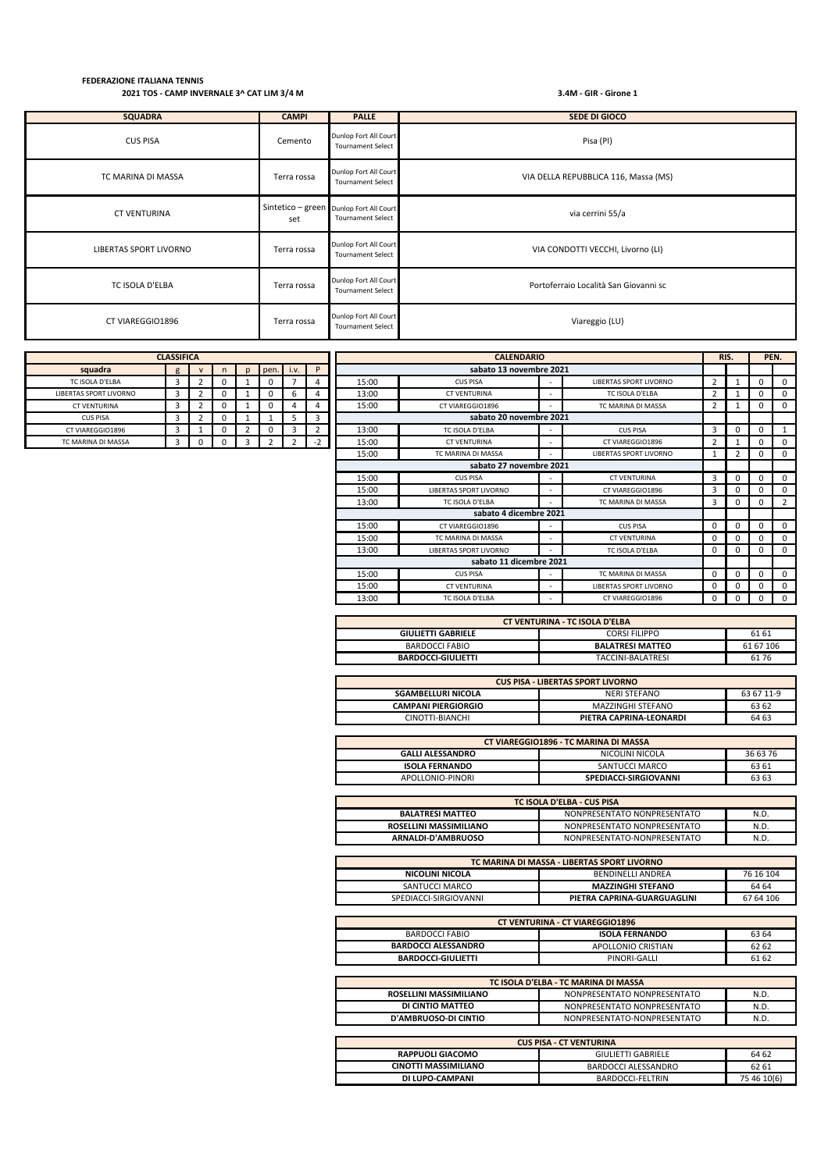| <b>SQUADRA</b>         | <b>CAMPI</b> | <b>PALLE</b>                                                        | <b>SEDE DI GIOCO</b>                  |
|------------------------|--------------|---------------------------------------------------------------------|---------------------------------------|
| <b>CUS PISA</b>        | Cemento      | Dunlop Fort All Court<br><b>Tournament Select</b>                   | Pisa (PI)                             |
| TC MARINA DI MASSA     | Terra rossa  | Dunlop Fort All Court<br><b>Tournament Select</b>                   | VIA DELLA REPUBBLICA 116, Massa (MS)  |
| <b>CT VENTURINA</b>    | set          | Sintetico - green Dunlop Fort All Court<br><b>Tournament Select</b> | via cerrini 55/a                      |
| LIBERTAS SPORT LIVORNO | Terra rossa  | Dunlop Fort All Court<br><b>Tournament Select</b>                   | VIA CONDOTTI VECCHI, Livorno (LI)     |
| TC ISOLA D'ELBA        | Terra rossa  | Dunlop Fort All Court<br><b>Tournament Select</b>                   | Portoferraio Località San Giovanni sc |
| CT VIAREGGIO1896       | Terra rossa  | Dunlop Fort All Court<br><b>Tournament Select</b>                   | Viareggio (LU)                        |

| <b>LLASSIFILA</b>             |   |   |   |   |      |      |   |  |
|-------------------------------|---|---|---|---|------|------|---|--|
| squadra                       | g | v | n | D | pen. | 1.9. | D |  |
| TC ISOLA D'ELBA               | 3 |   | 0 |   |      |      |   |  |
| <b>LIBERTAS SPORT LIVORNO</b> | 3 |   | Ω |   |      | b    |   |  |
| <b>CT VENTURINA</b>           | Ρ |   | Ω |   |      |      |   |  |
| <b>CUS PISA</b>               | ੨ | 7 | Ω |   |      | 5    |   |  |
| CT VIAREGGIO1896              | ว |   | 0 | 2 |      | 3    |   |  |
| TC MARINA DI MASSA            |   |   | n | 3 |      |      |   |  |

| <b>CLASSIFICA</b>      |   |                |          | <b>CALENDARIO</b> |      |      |      | RIS.                    |                         | PEN.                     |                               |             |                |          |                |
|------------------------|---|----------------|----------|-------------------|------|------|------|-------------------------|-------------------------|--------------------------|-------------------------------|-------------|----------------|----------|----------------|
| squadra                | g | $\mathsf{v}$   | n.       | p                 | pen. | i.v. | P    |                         | sabato 13 novembre 2021 |                          |                               |             |                |          |                |
| TC ISOLA D'ELBA        | 3 | $\overline{2}$ | 0        |                   | 0    |      | 4    | 15:00                   | <b>CUS PISA</b>         | $\overline{\phantom{a}}$ | <b>LIBERTAS SPORT LIVORNO</b> | 2           | 1              | 0        | $\mathbf 0$    |
| LIBERTAS SPORT LIVORNO | 3 |                |          |                   | 0    |      | 4    | 13:00                   | <b>CT VENTURINA</b>     |                          | TC ISOLA D'ELBA               | 2           |                |          | $\Omega$       |
| <b>CT VENTURINA</b>    | 3 |                | $\Omega$ |                   | 0    |      | 4    | 15:00                   | CT VIAREGGIO1896        |                          | TC MARINA DI MASSA            | 2           |                | 0        | $\mathbf{0}$   |
| <b>CUS PISA</b>        | 3 |                | 0        |                   |      |      | 3    |                         | sabato 20 novembre 2021 |                          |                               |             |                |          |                |
| CT VIAREGGIO1896       | 3 |                |          |                   | 0    |      | 2    | 13:00                   | TC ISOLA D'ELBA         |                          | <b>CUS PISA</b>               | 3           | 0              | $\Omega$ |                |
| TC MARINA DI MASSA     | 3 | 0              | 0        | 3                 | 2    |      | $-2$ | 15:00                   | <b>CT VENTURINA</b>     |                          | CT VIAREGGIO1896              | 2           |                | $\Omega$ | $\Omega$       |
|                        |   |                |          |                   |      |      |      | 15:00                   | TC MARINA DI MASSA      |                          | <b>LIBERTAS SPORT LIVORNO</b> |             | $\overline{2}$ | 0        | $\mathbf 0$    |
|                        |   |                |          |                   |      |      |      |                         | sabato 27 novembre 2021 |                          |                               |             |                |          |                |
|                        |   |                |          |                   |      |      |      | 15:00                   | <b>CUS PISA</b>         | $\sim$                   | <b>CT VENTURINA</b>           | 3           | $\Omega$       | $\Omega$ | $\mathbf{0}$   |
|                        |   |                |          |                   |      |      |      | 15:00                   | LIBERTAS SPORT LIVORNO  |                          | CT VIAREGGIO1896              | 3           | $\Omega$       |          | $\Omega$       |
|                        |   |                |          |                   |      |      |      | 13:00                   | TC ISOLA D'ELBA         | ۰                        | TC MARINA DI MASSA            | 3           | $\mathbf 0$    | 0        | $\overline{2}$ |
|                        |   |                |          |                   |      |      |      |                         | sabato 4 dicembre 2021  |                          |                               |             |                |          |                |
|                        |   |                |          |                   |      |      |      | 15:00                   | CT VIAREGGIO1896        | $\overline{\phantom{a}}$ | <b>CUS PISA</b>               | $\mathbf 0$ | $\Omega$       |          | $\mathbf 0$    |
|                        |   |                |          |                   |      |      |      | 15:00                   | TC MARINA DI MASSA      |                          | <b>CT VENTURINA</b>           | $\mathbf 0$ | $\Omega$       | 0        | $\Omega$       |
|                        |   |                |          |                   |      |      |      | 13:00                   | LIBERTAS SPORT LIVORNO  | $\sim$                   | TC ISOLA D'ELBA               | 0           | 0              | 0        | $\mathbf 0$    |
|                        |   |                |          |                   |      |      |      | sabato 11 dicembre 2021 |                         |                          |                               |             |                |          |                |
|                        |   |                |          |                   |      |      |      | 15:00                   | <b>CUS PISA</b>         | $\sim$                   | TC MARINA DI MASSA            | 0           | $\Omega$       | $\Omega$ | $\mathbf 0$    |
|                        |   |                |          |                   |      |      |      | 15:00                   | <b>CT VENTURINA</b>     |                          | <b>LIBERTAS SPORT LIVORNO</b> | $\mathbf 0$ | $\Omega$       | $\Omega$ | $\mathbf 0$    |
|                        |   |                |          |                   |      |      |      | 13:00                   | TC ISOLA D'ELBA         | ۰                        | CT VIAREGGIO1896              | 0           | 0              |          | $\mathbf 0$    |

| <b>CT VENTURINA - TC ISOLA D'ELBA</b>               |                         |           |  |  |  |  |
|-----------------------------------------------------|-------------------------|-----------|--|--|--|--|
| <b>GIULIETTI GABRIELE</b><br>CORSI FILIPPO<br>61 61 |                         |           |  |  |  |  |
| BARDOCCI FABIO                                      | <b>BALATRESI MATTEO</b> | 61 67 106 |  |  |  |  |
| <b>BARDOCCI-GIULIETTI</b>                           | TACCINI-BALATRESI       | 6176      |  |  |  |  |

| <b>CUS PISA - LIBERTAS SPORT LIVORNO</b>                |                         |       |  |  |  |  |  |
|---------------------------------------------------------|-------------------------|-------|--|--|--|--|--|
| <b>SGAMBELLURI NICOLA</b><br>63 67 11-9<br>NERI STEFANO |                         |       |  |  |  |  |  |
| <b>CAMPANI PIERGIORGIO</b>                              | MAZZINGHI STEFANO       | 63 62 |  |  |  |  |  |
| CINOTTI-BIANCHI                                         | PIETRA CAPRINA-LEONARDI | 64 63 |  |  |  |  |  |

| CT VIAREGGIO1896 - TC MARINA DI MASSA |                       |          |  |  |  |  |
|---------------------------------------|-----------------------|----------|--|--|--|--|
| <b>GALLI ALESSANDRO</b>               | NICOLINI NICOLA       | 36 63 76 |  |  |  |  |
| <b>ISOLA FERNANDO</b>                 | SANTUCCI MARCO        | 63 61    |  |  |  |  |
| APOLLONIO-PINORI                      | SPEDIACCI-SIRGIOVANNI | 63 63    |  |  |  |  |

| TC ISOLA D'ELBA - CUS PISA                                     |                             |      |  |  |  |
|----------------------------------------------------------------|-----------------------------|------|--|--|--|
| <b>BALATRESI MATTEO</b><br>NONPRESENTATO NONPRESENTATO<br>N.D. |                             |      |  |  |  |
| ROSELLINI MASSIMILIANO                                         | NONPRESENTATO NONPRESENTATO | N.D. |  |  |  |
| ARNALDI-D'AMBRUOSO                                             | NONPRESENTATO-NONPRESENTATO | N.D. |  |  |  |

| TC MARINA DI MASSA - LIBERTAS SPORT LIVORNO |                             |           |  |  |  |
|---------------------------------------------|-----------------------------|-----------|--|--|--|
| NICOLINI NICOLA                             | <b>RENDINELLI ANDREA</b>    | 76 16 104 |  |  |  |
| SANTUCCI MARCO                              | <b>MAZZINGHI STEFANO</b>    | 64 64     |  |  |  |
| SPEDIACCI-SIRGIOVANNI                       | PIETRA CAPRINA-GUARGUAGLINI | 67 64 106 |  |  |  |

| <b>CT VENTURINA - CT VIAREGGIO1896</b>  |                    |       |  |  |  |  |
|-----------------------------------------|--------------------|-------|--|--|--|--|
| <b>ISOLA FERNANDO</b><br>BARDOCCI FABIO |                    |       |  |  |  |  |
| <b>BARDOCCI ALESSANDRO</b>              | APOLLONIO CRISTIAN | 62 62 |  |  |  |  |
| <b>BARDOCCI-GIULIETTI</b>               | PINORI-GALLI       | 61 62 |  |  |  |  |

| TC ISOLA D'ELBA - TC MARINA DI MASSA                          |                             |      |  |  |  |  |
|---------------------------------------------------------------|-----------------------------|------|--|--|--|--|
| NONPRESENTATO NONPRESENTATO<br>ROSELLINI MASSIMILIANO<br>N.D. |                             |      |  |  |  |  |
| DI CINTIO MATTEO                                              | NONPRESENTATO NONPRESENTATO | N.D. |  |  |  |  |
| D'AMBRUOSO-DI CINTIO                                          | NONPRESENTATO-NONPRESENTATO | N.D. |  |  |  |  |

| <b>CUS PISA - CT VENTURINA</b> |                           |             |  |  |  |  |
|--------------------------------|---------------------------|-------------|--|--|--|--|
| <b>RAPPUOLI GIACOMO</b>        | <b>GIULIETTI GABRIELE</b> | 64 62       |  |  |  |  |
| CINOTTI MASSIMILIANO           | BARDOCCI ALESSANDRO       | 62 61       |  |  |  |  |
| DI LUPO-CAMPANI                | BARDOCCI-FELTRIN          | 75 46 10(6) |  |  |  |  |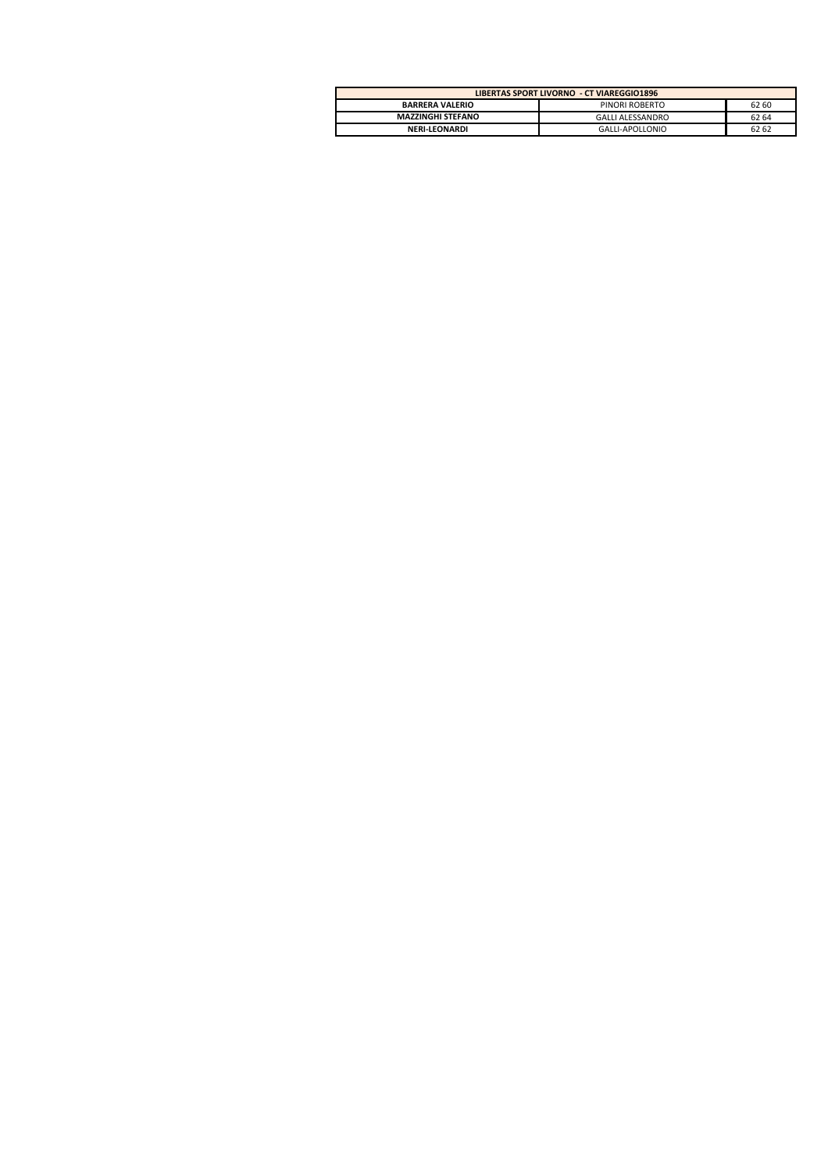| LIBERTAS SPORT LIVORNO - CT VIAREGGIO1896 |                  |       |  |  |  |  |
|-------------------------------------------|------------------|-------|--|--|--|--|
| <b>BARRERA VALERIO</b>                    | PINORI ROBERTO   | 62 60 |  |  |  |  |
| <b>MAZZINGHI STEFANO</b>                  | GALLI ALESSANDRO | 62 64 |  |  |  |  |
| <b>NERI-LEONARDI</b>                      | GALLI-APOLLONIO  | 62 62 |  |  |  |  |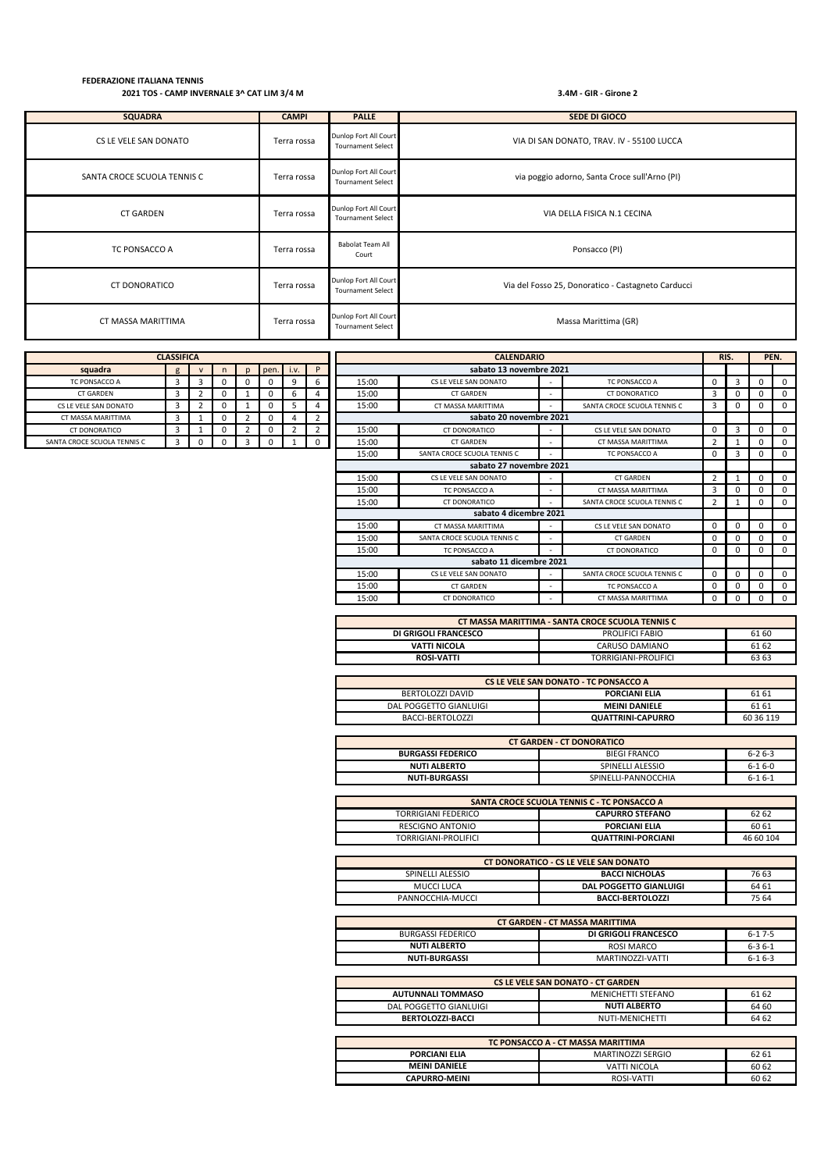| <b>SQUADRA</b>                                                                           | <b>CAMPI</b>                                              | <b>PALLE</b>                                      | <b>SEDE DI GIOCO</b>                               |  |  |  |  |  |
|------------------------------------------------------------------------------------------|-----------------------------------------------------------|---------------------------------------------------|----------------------------------------------------|--|--|--|--|--|
| CS LE VELE SAN DONATO                                                                    | Terra rossa                                               | Dunlop Fort All Court<br><b>Tournament Select</b> | VIA DI SAN DONATO, TRAV. IV - 55100 LUCCA          |  |  |  |  |  |
| SANTA CROCE SCUOLA TENNIS C                                                              | Terra rossa                                               | Dunlop Fort All Court<br><b>Tournament Select</b> | via poggio adorno, Santa Croce sull'Arno (PI)      |  |  |  |  |  |
| <b>CT GARDEN</b>                                                                         | Dunlop Fort All Court<br>VIA DELLA FISICA N.1 CECINA      |                                                   |                                                    |  |  |  |  |  |
| TC PONSACCO A                                                                            | Babolat Team All<br>Ponsacco (PI)<br>Terra rossa<br>Court |                                                   |                                                    |  |  |  |  |  |
| Dunlop Fort All Court<br><b>CT DONORATICO</b><br>Terra rossa<br><b>Tournament Select</b> |                                                           |                                                   | Via del Fosso 25, Donoratico - Castagneto Carducci |  |  |  |  |  |
| CT MASSA MARITTIMA                                                                       | Terra rossa                                               | Dunlop Fort All Court<br><b>Tournament Select</b> | Massa Marittima (GR)                               |  |  |  |  |  |

| <b>CLASSIFICA</b>           |   |                         |          |                          | RIS.<br><b>CALENDARIO</b> |                |                         |                                                 |                                                            |                          | PEN.                        |                |              |             |             |
|-----------------------------|---|-------------------------|----------|--------------------------|---------------------------|----------------|-------------------------|-------------------------------------------------|------------------------------------------------------------|--------------------------|-----------------------------|----------------|--------------|-------------|-------------|
| squadra                     | g | $\mathsf{v}$            | n        | $\mathbf{D}$             | pen.                      | i.v.           | P                       |                                                 | sabato 13 novembre 2021                                    |                          |                             |                |              |             |             |
| TC PONSACCO A               | 3 | 3                       | 0        | 0                        | 0                         | 9              | 6                       | 15:00                                           | $\mathbf 0$<br>CS LE VELE SAN DONATO<br>TC PONSACCO A<br>٠ |                          |                             | 3              | $\mathbf 0$  | 0           |             |
| <b>CT GARDEN</b>            | 3 | $\mathcal{D}$           |          |                          |                           | 6              |                         | 15:00                                           | <b>CT GARDEN</b>                                           | ٠                        | CT DONORATICO               | 3              |              | $\Omega$    | 0           |
| CS LE VELE SAN DONATO       | 3 | $\overline{\mathbf{c}}$ |          |                          |                           | 5              |                         | 15:00                                           | CT MASSA MARITTIMA                                         |                          | SANTA CROCE SCUOLA TENNIS C | 3              | O            | $\mathbf 0$ | $^{\circ}$  |
| CT MASSA MARITTIMA          | 3 |                         | $\Omega$ | $\overline{\phantom{a}}$ | 0                         | $\overline{4}$ | 2                       |                                                 | sabato 20 novembre 2021                                    |                          |                             |                |              |             |             |
| CT DONORATICO               | 3 |                         |          |                          | 0                         | $\overline{2}$ | $\overline{\mathbf{z}}$ | 15:00                                           | CT DONORATICO                                              | $\overline{\phantom{a}}$ | CS LE VELE SAN DONATO       | $\Omega$       | 3            | $\mathbf 0$ | 0           |
| SANTA CROCE SCUOLA TENNIS C | 3 |                         |          | 3                        | 0                         |                | 0                       | 15:00                                           | <b>CT GARDEN</b>                                           | $\overline{\phantom{a}}$ | CT MASSA MARITTIMA          | $\overline{2}$ |              | 0           | 0           |
|                             |   |                         |          |                          |                           |                |                         | 15:00                                           | SANTA CROCE SCUOLA TENNIS C                                |                          | TC PONSACCO A               | $\mathbf 0$    | з            | 0           | 0           |
|                             |   |                         |          |                          |                           |                |                         |                                                 | sabato 27 novembre 2021                                    |                          |                             |                |              |             |             |
|                             |   |                         |          |                          |                           |                |                         | 15:00                                           | CS LE VELE SAN DONATO                                      | $\overline{\phantom{a}}$ | <b>CT GARDEN</b>            | $\overline{2}$ |              | $\mathbf 0$ | 0           |
|                             |   |                         |          |                          |                           |                |                         | 15:00                                           | TC PONSACCO A                                              | ٠                        | CT MASSA MARITTIMA          | 3              |              | $\mathbf 0$ | 0           |
|                             |   |                         |          |                          |                           |                |                         | 15:00                                           | CT DONORATICO                                              | $\overline{\phantom{a}}$ | SANTA CROCE SCUOLA TENNIS C | $\overline{2}$ |              | $\mathbf 0$ | $^{\circ}$  |
|                             |   |                         |          |                          |                           |                |                         |                                                 | sabato 4 dicembre 2021                                     |                          |                             |                |              |             |             |
|                             |   |                         |          |                          |                           |                |                         | 15:00                                           | CT MASSA MARITTIMA                                         | $\overline{\phantom{a}}$ | CS LE VELE SAN DONATO       | $\mathbf 0$    |              | 0           | $\mathbf 0$ |
|                             |   |                         |          |                          |                           |                |                         | 15:00                                           | SANTA CROCE SCUOLA TENNIS C                                | ٠                        | <b>CT GARDEN</b>            | $\mathbf 0$    | $\Omega$     | 0           | 0           |
|                             |   |                         |          |                          |                           |                |                         | 15:00                                           | TC PONSACCO A                                              | ٠                        | CT DONORATICO               | 0              | 0            | $\mathbf 0$ | $^{\circ}$  |
|                             |   |                         |          |                          |                           |                |                         |                                                 | sabato 11 dicembre 2021                                    |                          |                             |                |              |             |             |
|                             |   |                         |          |                          |                           |                |                         | 15:00                                           | CS LE VELE SAN DONATO                                      | ٠                        | SANTA CROCE SCUOLA TENNIS C | 0              | $\Omega$     | 0           | 0           |
|                             |   |                         |          |                          |                           |                |                         | 15:00<br><b>CT GARDEN</b><br>TC PONSACCO A<br>۰ |                                                            | 0                        | 0                           | $\mathbf 0$    | $\mathbf 0$  |             |             |
|                             |   |                         |          |                          |                           |                |                         | 15:00                                           | <b>CT DONORATICO</b>                                       |                          | CT MASSA MARITTIMA          | 0              | <sup>0</sup> | $\mathbf 0$ | $\mathbf 0$ |
|                             |   |                         |          |                          |                           |                |                         |                                                 |                                                            |                          |                             |                |              |             |             |

| CT MASSA MARITTIMA - SANTA CROCE SCUOLA TENNIS C |                      |       |  |  |  |  |
|--------------------------------------------------|----------------------|-------|--|--|--|--|
| DI GRIGOLI FRANCESCO                             | PROLIFICI FABIO      | 61 60 |  |  |  |  |
| VATTI NICOLA                                     | CARUSO DAMIANO       | 61 62 |  |  |  |  |
| <b>ROSI-VATTI</b>                                | TORRIGIANI-PROLIFICI | 63 63 |  |  |  |  |

| CS LE VELE SAN DONATO - TC PONSACCO A |                          |           |  |  |  |  |
|---------------------------------------|--------------------------|-----------|--|--|--|--|
| BERTOLOZZI DAVID                      | <b>PORCIANI ELIA</b>     | 61 61     |  |  |  |  |
| DAL POGGETTO GIANLUIGI                | <b>MEINI DANIELE</b>     | 61 61     |  |  |  |  |
| BACCI-BERTOLOZZI                      | <b>QUATTRINI-CAPURRO</b> | 60 36 119 |  |  |  |  |

| <b>CT GARDEN - CT DONORATICO</b> |                     |              |  |  |  |
|----------------------------------|---------------------|--------------|--|--|--|
| <b>BURGASSI FEDERICO</b>         | <b>BIEGI FRANCO</b> | $6 - 26 - 3$ |  |  |  |
| <b>NUTI ALBERTO</b>              | SPINELLI ALESSIO    | $6-16-0$     |  |  |  |
| <b>NUTI-BURGASSI</b>             | SPINELLI-PANNOCCHIA | $6 - 16 - 1$ |  |  |  |

| SANTA CROCE SCUOLA TENNIS C - TC PONSACCO A |                           |           |  |  |  |  |
|---------------------------------------------|---------------------------|-----------|--|--|--|--|
| TORRIGIANI FEDERICO                         | <b>CAPURRO STEFANO</b>    | 62 62     |  |  |  |  |
| RESCIGNO ANTONIO                            | <b>PORCIANI ELIA</b>      | 60 61     |  |  |  |  |
| TORRIGIANI-PROLIFICI                        | <b>QUATTRINI-PORCIANI</b> | 46 60 104 |  |  |  |  |

| <b>CT DONORATICO - CS LE VELE SAN DONATO</b> |                         |       |  |  |  |  |
|----------------------------------------------|-------------------------|-------|--|--|--|--|
| SPINELLI ALESSIO                             | <b>BACCI NICHOLAS</b>   | 76 63 |  |  |  |  |
| MUCCI LUCA                                   | DAL POGGETTO GIANLUIGI  | 64 61 |  |  |  |  |
| PANNOCCHIA-MUCCL                             | <b>BACCI-BERTOLOZZI</b> | 75 64 |  |  |  |  |

| <b>CT GARDEN - CT MASSA MARITTIMA</b> |                      |              |  |  |  |  |
|---------------------------------------|----------------------|--------------|--|--|--|--|
| <b>BURGASSI FEDERICO</b>              | DI GRIGOLI FRANCESCO | $6 - 17 - 5$ |  |  |  |  |
| NUTI ALBERTO                          | ROSI MARCO           | $6 - 36 - 1$ |  |  |  |  |
| <b>NUTI-BURGASSI</b>                  | MARTINOZZI-VATTI     | $6 - 16 - 3$ |  |  |  |  |

| <b>CS LE VELE SAN DONATO - CT GARDEN</b> |                     |       |  |  |  |
|------------------------------------------|---------------------|-------|--|--|--|
| <b>AUTUNNALI TOMMASO</b>                 | MENICHETTI STEFANO  | 61 62 |  |  |  |
| DAL POGGETTO GIANLUIGI                   | <b>NUTI ALBERTO</b> | 64 60 |  |  |  |
| BERTOLOZZI-BACCI                         | NUTI-MENICHETTI     | 64 62 |  |  |  |

| TC PONSACCO A - CT MASSA MARITTIMA |                     |       |  |  |  |  |
|------------------------------------|---------------------|-------|--|--|--|--|
| <b>PORCIANI ELIA</b>               | MARTINOZZI SERGIO   | 62 61 |  |  |  |  |
| <b>MEINI DANIFI F</b>              | <b>VATTI NICOLA</b> | 60 62 |  |  |  |  |
| <b>CAPURRO-MEINI</b>               | ROSI-VATTI          | 60 62 |  |  |  |  |

| <b>CLASSIFICA</b>           |   |              |   |   |      |      |   |
|-----------------------------|---|--------------|---|---|------|------|---|
| squadra                     | g | $\mathsf{v}$ | n | D | pen. | i.v. | D |
| TC PONSACCO A               | 3 | 3            | 0 | 0 |      | 9    |   |
| <b>CT GARDEN</b>            | 3 | 2            | 0 |   | O    | 6    |   |
| CS LE VELE SAN DONATO       | 3 |              | 0 |   |      | 5    |   |
| CT MASSA MARITTIMA          | ٦ |              | 0 | 2 | 0    | 4    |   |
| <b>CT DONORATICO</b>        | 3 |              | 0 | 2 | 0    | 2    | 2 |
| SANTA CROCE SCUOLA TENNIS C | 3 |              | n | ર | n    | 1    |   |
|                             |   |              |   |   |      |      |   |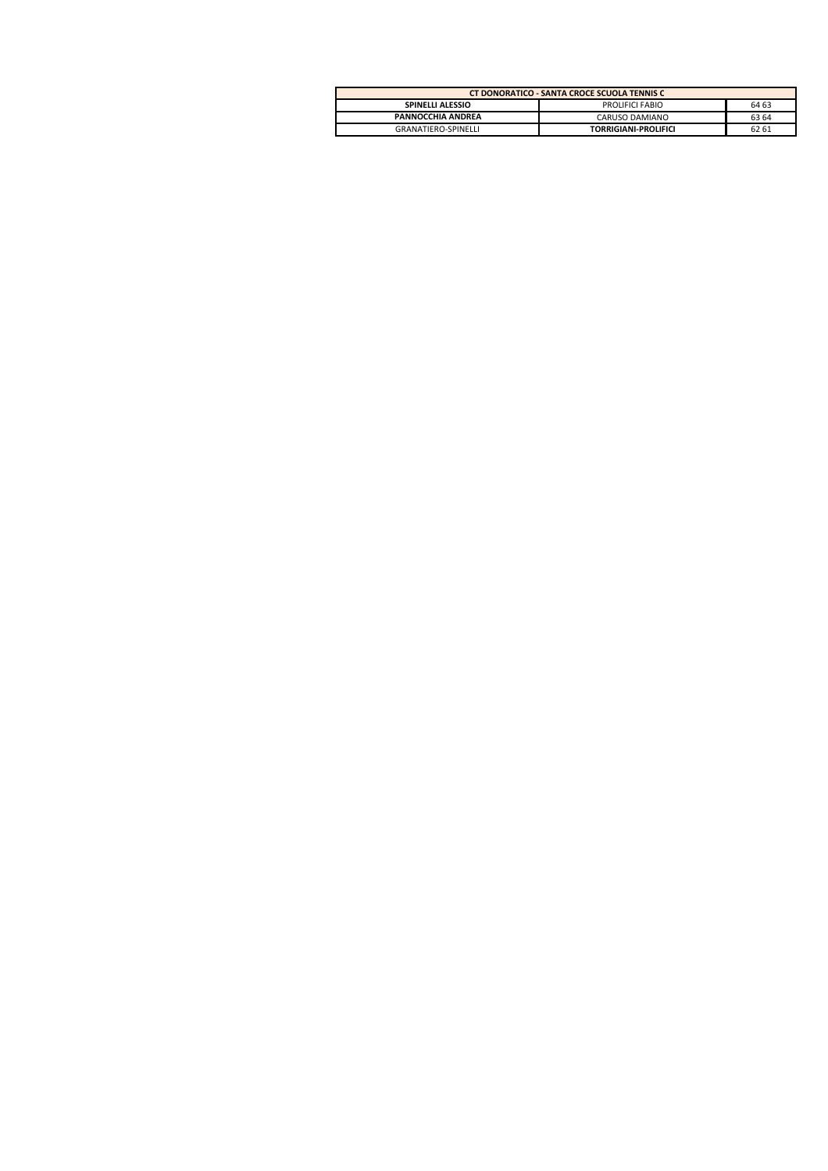| CT DONORATICO - SANTA CROCE SCUOLA TENNIS C |                             |       |  |  |  |  |
|---------------------------------------------|-----------------------------|-------|--|--|--|--|
| <b>SPINELLI ALESSIO</b>                     | PROLIFICI FABIO             | 64 63 |  |  |  |  |
| PANNOCCHIA ANDREA                           | CARUSO DAMIANO              | 63 64 |  |  |  |  |
| <b>GRANATIERO-SPINELLI</b>                  | <b>TORRIGIANI-PROLIFICI</b> | 62 61 |  |  |  |  |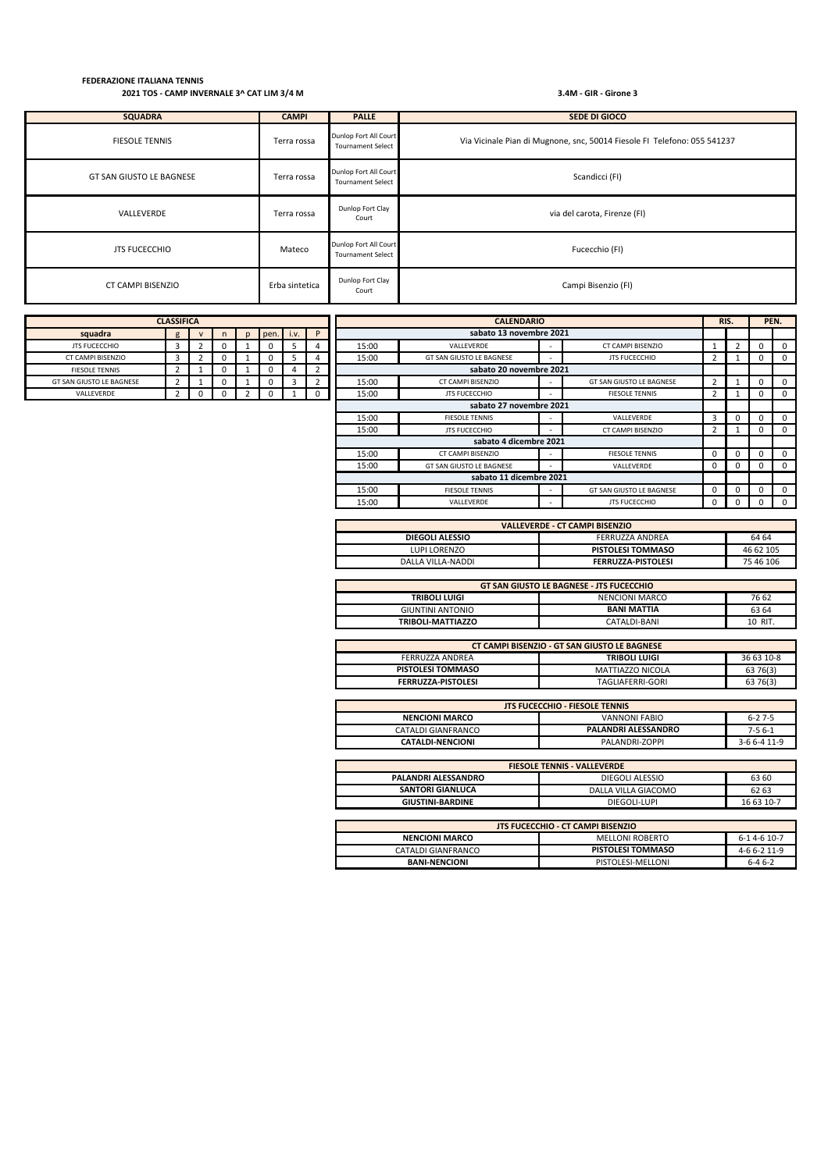| <b>SQUADRA</b>           | <b>CAMPI</b>   | <b>PALLE</b>                                      | <b>SEDE DI GIOCO</b>                                                     |
|--------------------------|----------------|---------------------------------------------------|--------------------------------------------------------------------------|
| <b>FIESOLE TENNIS</b>    | Terra rossa    | Dunlop Fort All Court<br><b>Tournament Select</b> | Via Vicinale Pian di Mugnone, snc, 50014 Fiesole FI Telefono: 055 541237 |
| GT SAN GIUSTO LE BAGNESE | Terra rossa    | Dunlop Fort All Court<br><b>Tournament Select</b> | Scandicci (FI)                                                           |
| VALLEVERDE               | Terra rossa    | Dunlop Fort Clay<br>Court                         | via del carota, Firenze (FI)                                             |
| <b>JTS FUCECCHIO</b>     | Mateco         | Dunlop Fort All Court<br><b>Tournament Select</b> | Fucecchio (FI)                                                           |
| CT CAMPI BISENZIO        | Erba sintetica | Dunlop Fort Clay<br>Court                         | Campi Bisenzio (FI)                                                      |

| <b>CLASSIFICA</b>        |   |              |   |              |      |      |                |       | <b>CALENDARIO</b>        |  |                          | RIS. |          |          | PEN.                    |
|--------------------------|---|--------------|---|--------------|------|------|----------------|-------|--------------------------|--|--------------------------|------|----------|----------|-------------------------|
| squadra                  | g | $\mathbf{V}$ | n | $\mathbf{D}$ | pen. | i.v. | P              |       | sabato 13 novembre 2021  |  |                          |      |          |          |                         |
| <b>JTS FUCECCHIO</b>     | 3 |              |   |              |      | 5.   | 4              | 15:00 | VALLEVERDE               |  | CT CAMPI BISENZIO        |      |          | 0        | $^{\circ}$              |
| CT CAMPI BISENZIO        | 3 |              |   |              | 0    | 5    | 4              | 15:00 | GT SAN GIUSTO LE BAGNESE |  | <b>JTS FUCECCHIO</b>     | 2    |          | 0        | $\mathbf 0$             |
| <b>FIESOLE TENNIS</b>    | 2 |              |   |              |      |      | $\overline{2}$ |       | sabato 20 novembre 2021  |  |                          |      |          |          |                         |
| GT SAN GIUSTO LE BAGNESE |   |              |   |              |      | 3    | $\overline{2}$ | 15:00 | CT CAMPI BISENZIO        |  | GT SAN GIUSTO LE BAGNESE | 2    |          | 0        | $\mathbf 0$             |
| VALLEVERDE               |   | 0            |   |              |      |      | 0              | 15:00 | <b>JTS FUCECCHIO</b>     |  | <b>FIESOLE TENNIS</b>    | 2    |          | 0        | $^{\circ}$              |
|                          |   |              |   |              |      |      |                |       | sabato 27 novembre 2021  |  |                          |      |          |          |                         |
|                          |   |              |   |              |      |      |                | 15:00 | <b>FIESOLE TENNIS</b>    |  | VALLEVERDE               | 3    | 0        | 0        | $\overline{\mathbf{0}}$ |
|                          |   |              |   |              |      |      |                | 15:00 | <b>JTS FUCECCHIO</b>     |  | CT CAMPI BISENZIO        | 2    |          | 0        | $^{\circ}$              |
|                          |   |              |   |              |      |      |                |       | sabato 4 dicembre 2021   |  |                          |      |          |          |                         |
|                          |   |              |   |              |      |      |                | 15:00 | CT CAMPI BISENZIO        |  | <b>FIESOLE TENNIS</b>    | 0    | $\Omega$ | $\Omega$ | $\Omega$                |
|                          |   |              |   |              |      |      |                | 15:00 | GT SAN GIUSTO LE BAGNESE |  | VALLEVERDE               | 0    | 0        | $\Omega$ | $^{\circ}$              |
|                          |   |              |   |              |      |      |                |       | sabato 11 dicembre 2021  |  |                          |      |          |          |                         |
|                          |   |              |   |              |      |      |                | 15:00 | <b>FIESOLE TENNIS</b>    |  | GT SAN GIUSTO LE BAGNESE | 0    | $\Omega$ | $\Omega$ | $\Omega$                |
|                          |   |              |   |              |      |      |                | 15:00 | VALLEVERDE               |  | <b>JTS FUCECCHIO</b>     | 0    |          |          | $\Omega$                |

| <b>VALLEVERDE - CT CAMPI BISENZIO</b> |                           |           |  |  |  |  |  |
|---------------------------------------|---------------------------|-----------|--|--|--|--|--|
| DIEGOLI ALESSIO                       | FERRUZZA ANDREA           | 64 64     |  |  |  |  |  |
| LUPI LORENZO                          | <b>PISTOLESI TOMMASO</b>  | 46 62 105 |  |  |  |  |  |
| DALLA VILLA-NADDI                     | <b>FERRUZZA-PISTOLESI</b> | 75 46 106 |  |  |  |  |  |

| <b>GT SAN GIUSTO LE BAGNESE - JTS FUCECCHIO</b> |                    |         |  |  |  |  |  |  |
|-------------------------------------------------|--------------------|---------|--|--|--|--|--|--|
| <b>TRIBOLI LUIGI</b>                            | NENCIONI MARCO     | 76 62   |  |  |  |  |  |  |
| GIUNTINI ANTONIO                                | <b>BANI MATTIA</b> | 63 64   |  |  |  |  |  |  |
| TRIBOLI-MATTIAZZO                               | CATALDI-BANI       | 10 RIT. |  |  |  |  |  |  |

| CT CAMPI BISENZIO - GT SAN GIUSTO LE BAGNESE |                      |            |  |  |  |  |  |  |
|----------------------------------------------|----------------------|------------|--|--|--|--|--|--|
| FERRUZZA ANDREA                              | <b>TRIBOLI LUIGI</b> | 36 63 10-8 |  |  |  |  |  |  |
| <b>PISTOLESI TOMMASO</b>                     | MATTIAZZO NICOLA     | 63 76(3)   |  |  |  |  |  |  |
| <b>FERRUZZA-PISTOLESI</b>                    | TAGLIAFERRI-GORI     | 63 76(3)   |  |  |  |  |  |  |

| <b>JTS FUCECCHIO - FIESOLE TENNIS</b> |                     |              |  |  |  |  |  |  |
|---------------------------------------|---------------------|--------------|--|--|--|--|--|--|
| <b>NENCIONI MARCO</b>                 | VANNONI FABIO       | $6 - 27 - 5$ |  |  |  |  |  |  |
| CATALDI GIANFRANCO                    | PALANDRI ALESSANDRO | $7-56-1$     |  |  |  |  |  |  |
| <b>CATALDI-NENCIONI</b>               | PALANDRI-ZOPPI      | 3-6 6-4 11-9 |  |  |  |  |  |  |

| <b>FIESOLE TENNIS - VALLEVERDE</b> |                                          |              |  |  |  |  |  |
|------------------------------------|------------------------------------------|--------------|--|--|--|--|--|
| PALANDRI ALESSANDRO                | DIEGOLI ALESSIO                          | 63 60        |  |  |  |  |  |
| <b>SANTORI GIANLUCA</b>            | DALLA VILLA GIACOMO                      | 62 63        |  |  |  |  |  |
| <b>GIUSTINI-BARDINE</b>            | DIEGOLI-LUPI                             | 16 63 10-7   |  |  |  |  |  |
|                                    |                                          |              |  |  |  |  |  |
|                                    | <b>JTS FUCECCHIO - CT CAMPI BISENZIO</b> |              |  |  |  |  |  |
| <b>NENCIONI MARCO</b>              | <b>MELLONI ROBERTO</b>                   | 6-14-610-7   |  |  |  |  |  |
| CATALDI GIANFRANCO                 | <b>PISTOLESI TOMMASO</b>                 | 4-6 6-2 11-9 |  |  |  |  |  |

**BANI-NENCIONI** PISTOLESI-MELLONI 6-4 6-2

| <b>CLASSIFICA</b>        |   |   |          |  |      |      |   |  |  |  |
|--------------------------|---|---|----------|--|------|------|---|--|--|--|
| squadra                  | g | v | n        |  | pen. | i.v. | P |  |  |  |
| <b>JTS FUCECCHIO</b>     | 3 |   |          |  |      |      |   |  |  |  |
| CT CAMPI BISENZIO        | 3 |   | O        |  | O    | כ    |   |  |  |  |
| <b>FIESOLE TENNIS</b>    |   |   | O        |  | 0    |      |   |  |  |  |
| GT SAN GIUSTO LE BAGNESE |   |   | $^{(1)}$ |  | O    | 3    |   |  |  |  |
| VALLEVERDE               |   |   |          |  |      |      |   |  |  |  |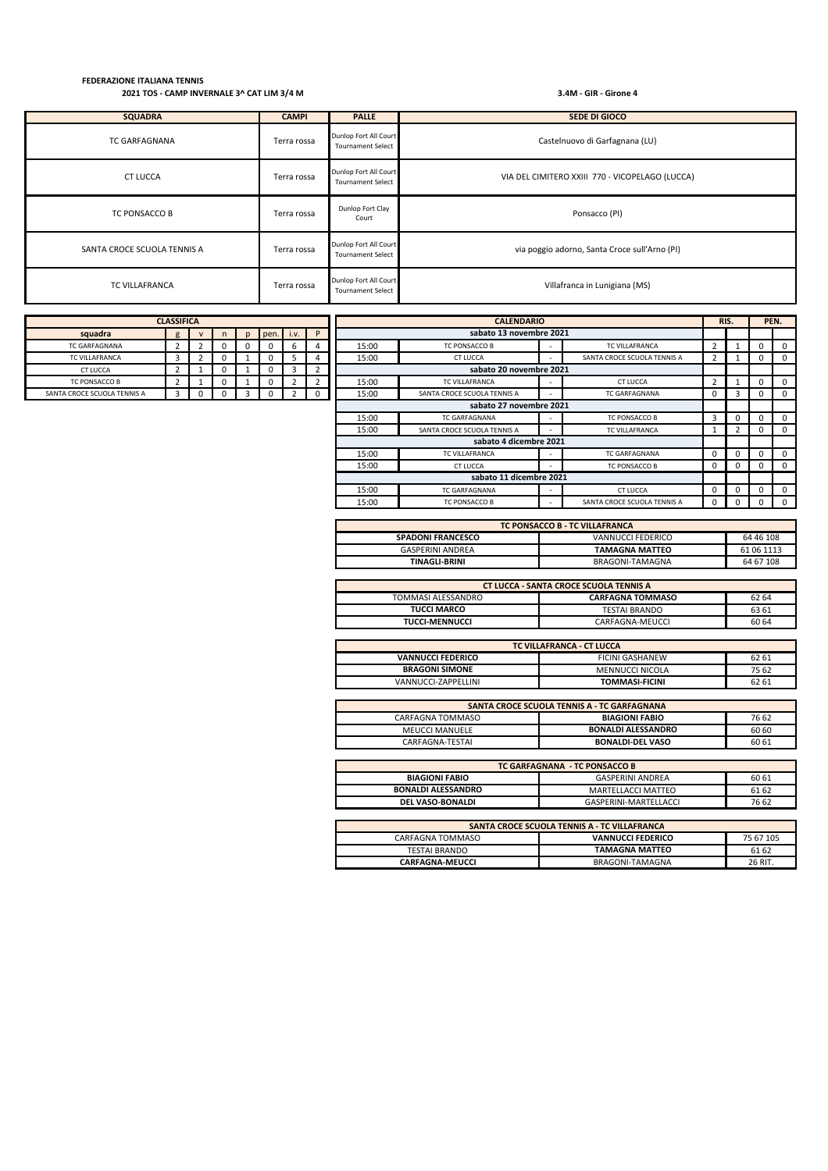| <b>SQUADRA</b>              | <b>CAMPI</b> | <b>PALLE</b>                                      | <b>SEDE DI GIOCO</b>                            |
|-----------------------------|--------------|---------------------------------------------------|-------------------------------------------------|
| <b>TC GARFAGNANA</b>        | Terra rossa  | Dunlop Fort All Court<br><b>Tournament Select</b> | Castelnuovo di Garfagnana (LU)                  |
| <b>CT LUCCA</b>             | Terra rossa  | Dunlop Fort All Court<br><b>Tournament Select</b> | VIA DEL CIMITERO XXIII 770 - VICOPELAGO (LUCCA) |
| TC PONSACCO B               | Terra rossa  | Dunlop Fort Clay<br>Court                         | Ponsacco (PI)                                   |
| SANTA CROCE SCUOLA TENNIS A | Terra rossa  | Dunlop Fort All Court<br><b>Tournament Select</b> | via poggio adorno, Santa Croce sull'Arno (PI)   |
| <b>TC VILLAFRANCA</b>       | Terra rossa  | Dunlop Fort All Court<br><b>Tournament Select</b> | Villafranca in Lunigiana (MS)                   |

|                             | <b>CLASSIFICA</b> |              |   |   |            |      |            |       | <b>CALENDARIO</b>           |                          |                             | RIS.        |              | PEN.                    |
|-----------------------------|-------------------|--------------|---|---|------------|------|------------|-------|-----------------------------|--------------------------|-----------------------------|-------------|--------------|-------------------------|
| squadra                     | g                 | $\mathsf{V}$ | n | n | pen.       | i.v. | P          |       | sabato 13 novembre 2021     |                          |                             |             |              |                         |
| <b>TC GARFAGNANA</b>        | 2                 |              |   | U | 0          | b    |            | 15:00 | TC PONSACCO B               | $\overline{\phantom{a}}$ | <b>TC VILLAFRANCA</b>       | 2           | 0            | $\overline{0}$          |
| <b>TC VILLAFRANCA</b>       | 3                 |              |   |   | $^{\circ}$ |      |            | 15:00 | <b>CT LUCCA</b>             | $\overline{\phantom{a}}$ | SANTA CROCE SCUOLA TENNIS A | 2           | $\mathbf{0}$ | $\overline{0}$          |
| <b>CT LUCCA</b>             |                   |              |   |   | 0          |      |            |       | sabato 20 novembre 2021     |                          |                             |             |              |                         |
| TC PONSACCO B               |                   |              |   |   | 0          |      |            | 15:00 | <b>TC VILLAFRANCA</b>       | $\overline{\phantom{a}}$ | CT LUCCA                    |             | $\mathbf 0$  | $\overline{\mathbf{0}}$ |
| SANTA CROCE SCUOLA TENNIS A | 3 <sup>1</sup>    | 0            |   | 3 | 0          |      | $^{\circ}$ | 15:00 | SANTA CROCE SCUOLA TENNIS A | $\overline{\phantom{a}}$ | <b>TC GARFAGNANA</b>        | 0           | $\mathbf{0}$ | $\overline{0}$          |
|                             |                   |              |   |   |            |      |            |       | sabato 27 novembre 2021     |                          |                             |             |              |                         |
|                             |                   |              |   |   |            |      |            | 15:00 | <b>TC GARFAGNANA</b>        | $\overline{\phantom{a}}$ | TC PONSACCO B               | 3           | $\mathbf 0$  | $\overline{\mathbf{0}}$ |
|                             |                   |              |   |   |            |      |            | 15:00 | SANTA CROCE SCUOLA TENNIS A | $\overline{\phantom{a}}$ | <b>TC VILLAFRANCA</b>       |             | 0            | $\overline{0}$          |
|                             |                   |              |   |   |            |      |            |       | sabato 4 dicembre 2021      |                          |                             |             |              |                         |
|                             |                   |              |   |   |            |      |            | 15:00 | <b>TC VILLAFRANCA</b>       | $\overline{\phantom{a}}$ | <b>TC GARFAGNANA</b>        | $\mathbf 0$ | $\mathbf{0}$ | $\overline{0}$          |
|                             |                   |              |   |   |            |      |            | 15:00 | <b>CT LUCCA</b>             | $\overline{\phantom{0}}$ | TC PONSACCO B               | 0           | $\mathbf{0}$ | $\overline{0}$          |
|                             |                   |              |   |   |            |      |            |       | sabato 11 dicembre 2021     |                          |                             |             |              |                         |
|                             |                   |              |   |   |            |      |            | 15:00 | <b>TC GARFAGNANA</b>        | $\overline{\phantom{a}}$ | <b>CT LUCCA</b>             | $\Omega$    | $\Omega$     | $\Omega$                |
|                             |                   |              |   |   |            |      |            | 15:00 | TC PONSACCO B               | $\overline{\phantom{a}}$ | SANTA CROCE SCUOLA TENNIS A | $\Omega$    | 0            | $\Omega$                |

| TC PONSACCO B - TC VILLAFRANCA |                       |            |  |  |  |  |  |  |
|--------------------------------|-----------------------|------------|--|--|--|--|--|--|
| <b>SPADONI FRANCESCO</b>       | VANNUCCI FEDERICO     | 64 46 108  |  |  |  |  |  |  |
| <b>GASPERINI ANDREA</b>        | <b>TAMAGNA MATTEO</b> | 61 06 1113 |  |  |  |  |  |  |
| <b>TINAGLI-BRINI</b>           | BRAGONI-TAMAGNA       | 64 67 108  |  |  |  |  |  |  |

| <b>CT LUCCA - SANTA CROCE SCUOLA TENNIS A</b> |                         |       |  |  |  |  |  |  |
|-----------------------------------------------|-------------------------|-------|--|--|--|--|--|--|
| TOMMASI ALESSANDRO                            | <b>CARFAGNA TOMMASO</b> | 62 64 |  |  |  |  |  |  |
| <b>TUCCI MARCO</b>                            | TESTAI BRANDO           | 63 61 |  |  |  |  |  |  |
| <b>TUCCI-MENNUCCI</b>                         | CARFAGNA-MEUCCL         | 60 64 |  |  |  |  |  |  |

| TC VILLAFRANCA - CT LUCCA |                       |       |  |  |  |
|---------------------------|-----------------------|-------|--|--|--|
| <b>VANNUCCI FEDERICO</b>  | 62 61                 |       |  |  |  |
| <b>BRAGONI SIMONE</b>     | MENNUCCI NICOLA       | 75 62 |  |  |  |
| VANNUCCI-ZAPPELLINI       | <b>TOMMASI-FICINI</b> | 62 61 |  |  |  |

| SANTA CROCE SCUOLA TENNIS A - TC GARFAGNANA        |                           |       |  |  |  |  |  |
|----------------------------------------------------|---------------------------|-------|--|--|--|--|--|
| 76 62<br>CARFAGNA TOMMASO<br><b>BIAGIONI FABIO</b> |                           |       |  |  |  |  |  |
| <b>MEUCCI MANUELE</b>                              | <b>BONALDI ALESSANDRO</b> | 60 60 |  |  |  |  |  |
| CARFAGNA-TESTAI                                    | <b>BONALDI-DEL VASO</b>   | 60 61 |  |  |  |  |  |

| TC GARFAGNANA - TC PONSACCO B                    |                                           |       |  |  |  |
|--------------------------------------------------|-------------------------------------------|-------|--|--|--|
| <b>BIAGIONI FABIO</b>                            | <b>GASPERINI ANDREA</b>                   | 60 61 |  |  |  |
| <b>BONALDI ALESSANDRO</b>                        | MARTELLACCI MATTEO                        | 61 62 |  |  |  |
| GASPERINI-MARTELLACCI<br><b>DEL VASO-BONALDI</b> |                                           | 76 62 |  |  |  |
|                                                  |                                           |       |  |  |  |
|                                                  | CANTA CROCE CCUOLA TENNIC A TCAULLAERANCA |       |  |  |  |

| SANTA CROCE SCUOLA TENNIS A - TC VILLAFRANCA |                          |           |  |  |  |  |  |
|----------------------------------------------|--------------------------|-----------|--|--|--|--|--|
| CARFAGNA TOMMASO                             | <b>VANNUCCI FEDERICO</b> | 75 67 105 |  |  |  |  |  |
| TESTAI BRANDO                                | <b>TAMAGNA MATTEO</b>    | 61 62     |  |  |  |  |  |
| <b>CARFAGNA-MEUCCL</b>                       | BRAGONI-TAMAGNA          | 26 RIT.   |  |  |  |  |  |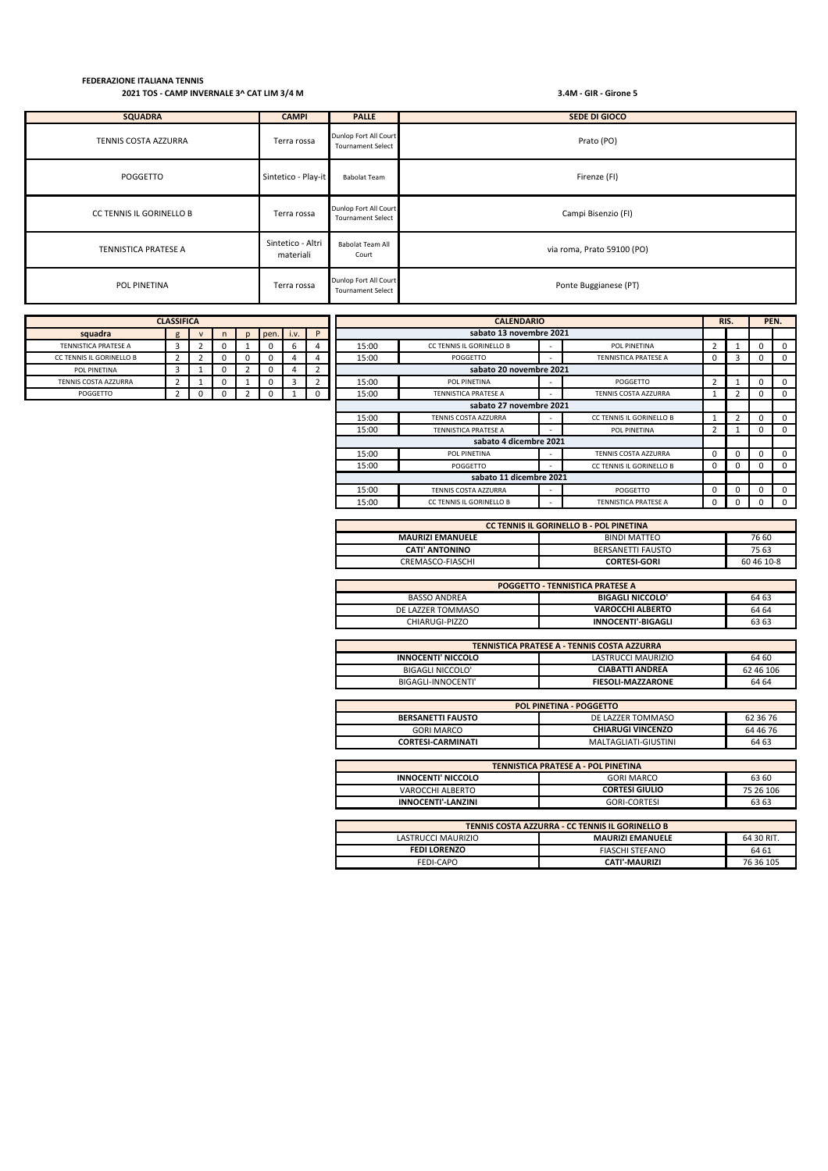| <b>SQUADRA</b>                  | <b>CAMPI</b>                   | <b>PALLE</b>                                      | SEDE DI GIOCO              |  |  |  |  |  |
|---------------------------------|--------------------------------|---------------------------------------------------|----------------------------|--|--|--|--|--|
| TENNIS COSTA AZZURRA            | Terra rossa                    | Dunlop Fort All Court<br><b>Tournament Select</b> | Prato (PO)                 |  |  |  |  |  |
| POGGETTO                        | Sintetico - Play-it            | <b>Babolat Team</b>                               | Firenze (FI)               |  |  |  |  |  |
| <b>CC TENNIS IL GORINELLO B</b> | Terra rossa                    | Dunlop Fort All Court<br><b>Tournament Select</b> | Campi Bisenzio (FI)        |  |  |  |  |  |
| TENNISTICA PRATESE A            | Sintetico - Altri<br>materiali | Babolat Team All<br>Court                         | via roma, Prato 59100 (PO) |  |  |  |  |  |
| POL PINETINA                    | Terra rossa                    | Dunlop Fort All Court<br><b>Tournament Select</b> | Ponte Buggianese (PT)      |  |  |  |  |  |

|                          | <b>CLASSIFICA</b> |              |   |      |      |                | RIS.<br><b>CALENDARIO</b>                     |                             |             |                             |             | PEN.     |   |             |
|--------------------------|-------------------|--------------|---|------|------|----------------|-----------------------------------------------|-----------------------------|-------------|-----------------------------|-------------|----------|---|-------------|
| squadra                  | g                 | $\mathsf{V}$ | D | pen. | i.v. | P              |                                               | sabato 13 novembre 2021     |             |                             |             |          |   |             |
| TENNISTICA PRATESE A     | 3                 |              |   |      | b    | 4              | 15:00                                         | CC TENNIS IL GORINELLO B    |             | POL PINETINA                | 2           |          | 0 | $\Omega$    |
| CC TENNIS IL GORINELLO B | $\mathbf{2}$      |              | υ | U    |      | 4              | 15:00                                         | POGGETTO                    |             | <b>TENNISTICA PRATESE A</b> | $\mathbf 0$ |          | 0 | $^{\circ}$  |
| POL PINETINA             | 3                 |              |   | 0    | 4    | $\overline{2}$ |                                               | sabato 20 novembre 2021     |             |                             |             |          |   |             |
| TENNIS COSTA AZZURRA     | $\mathbf{2}$      |              |   | 0    | 3    | $\overline{2}$ | 15:00                                         | POL PINETINA                |             | POGGETTO                    | 2           |          | 0 | $\mathbf 0$ |
| POGGETTO                 |                   | 0            |   |      |      | 0              | 15:00                                         | <b>TENNISTICA PRATESE A</b> |             | TENNIS COSTA AZZURRA        |             |          | 0 | $^{\circ}$  |
|                          |                   |              |   |      |      |                |                                               | sabato 27 novembre 2021     |             |                             |             |          |   |             |
|                          |                   |              |   |      |      |                | 15:00                                         | TENNIS COSTA AZZURRA        |             | CC TENNIS IL GORINELLO B    |             |          | 0 | $\Omega$    |
|                          |                   |              |   |      |      |                | 15:00                                         | <b>TENNISTICA PRATESE A</b> |             | POL PINETINA                | 2           |          | 0 | $\Omega$    |
|                          |                   |              |   |      |      |                |                                               | sabato 4 dicembre 2021      |             |                             |             |          |   |             |
|                          |                   |              |   |      |      |                | 15:00                                         | POL PINETINA                |             | TENNIS COSTA AZZURRA        | $\mathbf 0$ |          | 0 | $\mathbf 0$ |
|                          |                   |              |   |      |      |                | 15:00<br>CC TENNIS IL GORINELLO B<br>POGGETTO |                             | 0           | $\Omega$                    | 0           | $\Omega$ |   |             |
|                          |                   |              |   |      |      |                | sabato 11 dicembre 2021                       |                             |             |                             |             |          |   |             |
|                          |                   |              |   |      |      |                | 15:00<br>TENNIS COSTA AZZURRA<br>POGGETTO     |                             | $\mathbf 0$ | 0                           | 0           |          |   |             |
|                          |                   |              |   |      |      |                | 15:00                                         | CC TENNIS IL GORINELLO B    |             | <b>TENNISTICA PRATESE A</b> | $\Omega$    | 0        | 0 | $\Omega$    |

| <b>CC TENNIS IL GORINELLO B - POL PINETINA</b>   |                     |            |  |  |  |  |  |
|--------------------------------------------------|---------------------|------------|--|--|--|--|--|
| 76 60<br>BINDI MATTEO<br><b>MAURIZI EMANUELE</b> |                     |            |  |  |  |  |  |
| <b>CATI' ANTONINO</b>                            | BERSANETTI FAUSTO   | 75 63      |  |  |  |  |  |
| CREMASCO-FIASCHI                                 | <b>CORTESI-GORI</b> | 60 46 10-8 |  |  |  |  |  |

| <b>POGGETTO - TENNISTICA PRATESE A</b> |                           |       |  |  |  |  |
|----------------------------------------|---------------------------|-------|--|--|--|--|
| BASSO ANDREA                           | <b>BIGAGLI NICCOLO'</b>   | 64 63 |  |  |  |  |
| DE LAZZER TOMMASO                      | <b>VAROCCHI ALBERTO</b>   | 64 64 |  |  |  |  |
| CHIARUGI-PIZZO                         | <b>INNOCENTI'-BIGAGLI</b> | 63 63 |  |  |  |  |

| TENNISTICA PRATESE A - TENNIS COSTA AZZURRA |                          |           |  |  |  |  |
|---------------------------------------------|--------------------------|-----------|--|--|--|--|
| <b>INNOCENTI' NICCOLO</b>                   | LASTRUCCI MAURIZIO       | 64 60     |  |  |  |  |
| BIGAGLI NICCOLO'                            | <b>CIABATTI ANDREA</b>   | 62 46 106 |  |  |  |  |
| BIGAGLI-INNOCENTI'                          | <b>FIESOLI-MAZZARONE</b> | 64 64     |  |  |  |  |

| <b>POL PINETINA - POGGETTO</b> |                          |          |  |  |  |
|--------------------------------|--------------------------|----------|--|--|--|
| <b>BERSANETTI FAUSTO</b>       | DE LAZZER TOMMASO        | 62 36 76 |  |  |  |
| GORI MARCO                     | <b>CHIARUGI VINCENZO</b> | 64 46 76 |  |  |  |
| <b>CORTESI-CARMINATI</b>       | MALTAGLIATI-GIUSTINI     | 64 63    |  |  |  |

| <b>TENNISTICA PRATESE A - POL PINETINA</b>             |                         |            |  |  |  |  |  |
|--------------------------------------------------------|-------------------------|------------|--|--|--|--|--|
| <b>INNOCENTI' NICCOLO</b>                              | 63 60                   |            |  |  |  |  |  |
| VAROCCHI ALBERTO                                       | <b>CORTESI GIULIO</b>   | 75 26 106  |  |  |  |  |  |
| <b>INNOCENTI'-LANZINI</b><br><b>GORI-CORTESI</b>       |                         |            |  |  |  |  |  |
|                                                        |                         |            |  |  |  |  |  |
| TENNIS COSTA AZZURRA - CC TENNIS IL GORINELLO B        |                         |            |  |  |  |  |  |
| LASTRUCCI MAURIZIO                                     | <b>MAURIZI EMANUELE</b> | 64 30 RIT. |  |  |  |  |  |
| <b>FEDI LORENZO</b><br><b>FIASCHI STEFANO</b><br>64 61 |                         |            |  |  |  |  |  |

FEDI-CAPO **CATI'-MAURIZI** 76 36 105

| <b>CLASSIFICA</b>           |   |   |   |  |      |      |  |  |  |  |  |
|-----------------------------|---|---|---|--|------|------|--|--|--|--|--|
| squadra                     | g | v | n |  | pen. | 1.9. |  |  |  |  |  |
| <b>TENNISTICA PRATESE A</b> | 3 |   | O |  | u    | ь    |  |  |  |  |  |
| CC TENNIS IL GORINELLO B    |   |   |   |  |      |      |  |  |  |  |  |
| POL PINETINA                | ੨ |   | O |  | U    |      |  |  |  |  |  |
| TENNIS COSTA AZZURRA        |   |   | 0 |  |      | 3    |  |  |  |  |  |
| POGGETTO                    |   |   |   |  |      |      |  |  |  |  |  |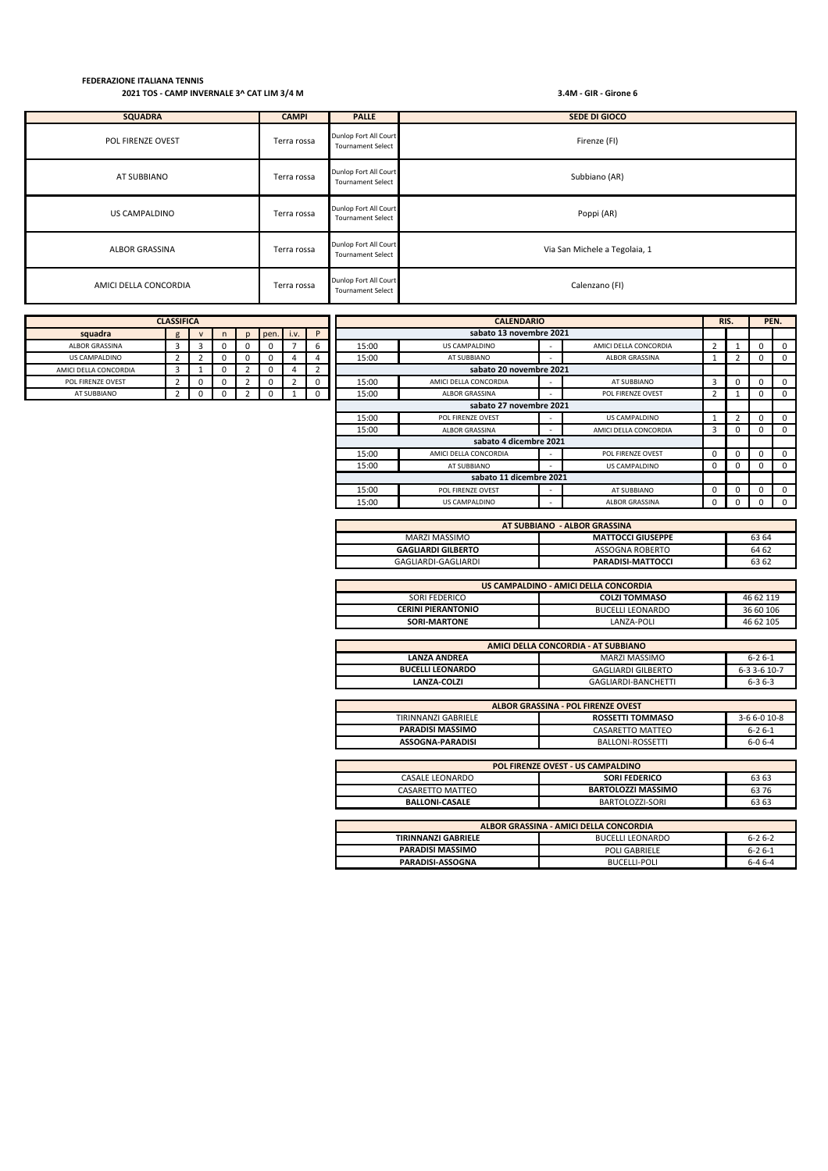AMICI DELLA CONCORDIA Terra rossa Dunlop Fort All Court Dunlop Fort All Court<br>Tournament Select Calenzano (FI) US CAMPALDINO Terra rossa Dunlop Fort All Court Court Court Court All Court Dunlop Fort All Court Juniop Fort All Court<br>Tournament Select Poppi (AR) ALBOR GRASSINA Terra rossa Dunlop Fort All Court All Court All Court All Court All Court All Court All Court A<br>Tournament Select Via San Michele a Tegolaia, 1 POL FIRENZE OVEST TERRA TERRA Dunlop Fort All Court Dunlop Fort All Court<br>Tournament Select Firenze (FI) AT SUBBIANO Terra rossa Dunlop Fort All Court AT SUBBIANO Dunlop Fort All Court<br>Tournament Select Subbiano (AR) **SQUADRA CAMPI PALLE SEDE DI GIOCO**

| <b>CLASSIFICA</b>     |                |             |  |              |      | <b>CALENDARIO</b> |             |       |                         | RIS. |                       | PEN.        |          |   |             |
|-----------------------|----------------|-------------|--|--------------|------|-------------------|-------------|-------|-------------------------|------|-----------------------|-------------|----------|---|-------------|
| squadra               | g              | $\mathbf v$ |  | $\mathsf{D}$ | pen. | i.v.              | P           |       | sabato 13 novembre 2021 |      |                       |             |          |   |             |
| ALBOR GRASSINA        | 3              | 3           |  | 0            |      |                   | 6           | 15:00 | US CAMPALDINO           |      | AMICI DELLA CONCORDIA | 2           |          | 0 | $\Omega$    |
| US CAMPALDINO         | 2              |             |  | 0            | υ    |                   | 4           | 15:00 | AT SUBBIANO             |      | ALBOR GRASSINA        | ш.          |          | 0 | $^{\circ}$  |
| AMICI DELLA CONCORDIA | 3              |             |  |              |      | 4                 | 2           |       | sabato 20 novembre 2021 |      |                       |             |          |   |             |
| POL FIRENZE OVEST     | $\overline{2}$ | $\Omega$    |  |              |      |                   | $\mathbf 0$ | 15:00 | AMICI DELLA CONCORDIA   |      | AT SUBBIANO           | 3           | 0        | 0 | $\mathbf 0$ |
| AT SUBBIANO           |                | $\Omega$    |  |              |      |                   | 0           | 15:00 | <b>ALBOR GRASSINA</b>   |      | POL FIRENZE OVEST     | 2           |          | 0 | $\Omega$    |
|                       |                |             |  |              |      |                   |             |       | sabato 27 novembre 2021 |      |                       |             |          |   |             |
|                       |                |             |  |              |      |                   |             | 15:00 | POL FIRENZE OVEST       |      | US CAMPALDINO         |             |          | 0 | $\mathbf 0$ |
|                       |                |             |  |              |      |                   |             | 15:00 | <b>ALBOR GRASSINA</b>   |      | AMICI DELLA CONCORDIA | 3           | 0        | 0 | $\Omega$    |
|                       |                |             |  |              |      |                   |             |       | sabato 4 dicembre 2021  |      |                       |             |          |   |             |
|                       |                |             |  |              |      |                   |             | 15:00 | AMICI DELLA CONCORDIA   |      | POL FIRENZE OVEST     | $\mathbf 0$ | 0        | 0 | $^{\circ}$  |
|                       |                |             |  |              |      |                   |             | 15:00 | AT SUBBIANO             |      | US CAMPALDINO         | $\Omega$    | $\Omega$ | 0 | $\Omega$    |
|                       |                |             |  |              |      |                   |             |       | sabato 11 dicembre 2021 |      |                       |             |          |   |             |
|                       |                |             |  |              |      |                   |             | 15:00 | POL FIRENZE OVEST       |      | AT SUBBIANO           | $\mathbf 0$ | 0        | 0 |             |
|                       |                |             |  |              |      |                   |             | 15:00 | US CAMPALDINO           |      | ALBOR GRASSINA        | $\Omega$    | 0        | 0 |             |

| AT SUBBIANO - ALBOR GRASSINA |                          |       |  |  |  |  |
|------------------------------|--------------------------|-------|--|--|--|--|
| MARZI MASSIMO                | <b>MATTOCCI GIUSEPPE</b> | 63 64 |  |  |  |  |
| <b>GAGLIARDI GILBERTO</b>    | ASSOGNA ROBERTO          | 64 62 |  |  |  |  |
| GAGLIARDI-GAGLIARDI          | PARADISI-MATTOCCI        | 63 62 |  |  |  |  |

| US CAMPALDINO - AMICI DELLA CONCORDIA |                         |           |  |  |  |  |
|---------------------------------------|-------------------------|-----------|--|--|--|--|
| SORI FEDERICO                         | <b>COLZI TOMMASO</b>    | 46 62 119 |  |  |  |  |
| <b>CERINI PIERANTONIO</b>             | <b>BUCELLI LEONARDO</b> | 36 60 106 |  |  |  |  |
| SORI-MARTONE                          | LANZA-POLI              | 46 62 105 |  |  |  |  |

| AMICI DELLA CONCORDIA - AT SUBBIANO |                     |              |  |  |  |  |  |
|-------------------------------------|---------------------|--------------|--|--|--|--|--|
| <b>LANZA ANDREA</b>                 | MARZI MASSIMO       | $6 - 26 - 1$ |  |  |  |  |  |
| <b>BUCELLI LEONARDO</b>             | GAGLIARDI GILBERTO  | $6-33-610-7$ |  |  |  |  |  |
| LANZA-COLZI                         | GAGLIARDI-BANCHETTI | $6 - 36 - 3$ |  |  |  |  |  |

| ALBOR GRASSINA - POL FIRENZE OVEST |                         |              |  |  |  |  |  |
|------------------------------------|-------------------------|--------------|--|--|--|--|--|
| TIRINNANZI GABRIELE                | <b>ROSSETTI TOMMASO</b> | $3-66-010-8$ |  |  |  |  |  |
| <b>PARADISI MASSIMO</b>            | CASARETTO MATTEO        | $6 - 26 - 1$ |  |  |  |  |  |
| ASSOGNA-PARADISI                   | BALLONI-ROSSETTI        | $6-06-4$     |  |  |  |  |  |

| POL FIRENZE OVEST - US CAMPALDINO      |                           |       |  |  |  |  |
|----------------------------------------|---------------------------|-------|--|--|--|--|
| <b>CASALE LEONARDO</b>                 | <b>SORI FEDERICO</b>      | 63 63 |  |  |  |  |
| CASARETTO MATTEO                       | <b>BARTOLOZZI MASSIMO</b> | 63 76 |  |  |  |  |
| <b>BALLONI-CASALE</b>                  | BARTOLOZZI-SORI           | 63 63 |  |  |  |  |
|                                        |                           |       |  |  |  |  |
| ALBOR GRASSINA - AMICI DELLA CONCORDIA |                           |       |  |  |  |  |
| TIRINNANZI GARRIELE                    | <b>DUCEULLEONAPDO</b>     | 6262  |  |  |  |  |

| <b>TIRINNANZI GABRIELE</b> | <b>BUCELLI LEONARDO</b> | $6 - 26 - 2$ |
|----------------------------|-------------------------|--------------|
| <b>PARADISI MASSIMO</b>    | <b>POLI GABRIELE</b>    | $6 - 26 - 1$ |
| PARADISI-ASSOGNA           | BUCELLI-POLI            | $6 - 46 - 4$ |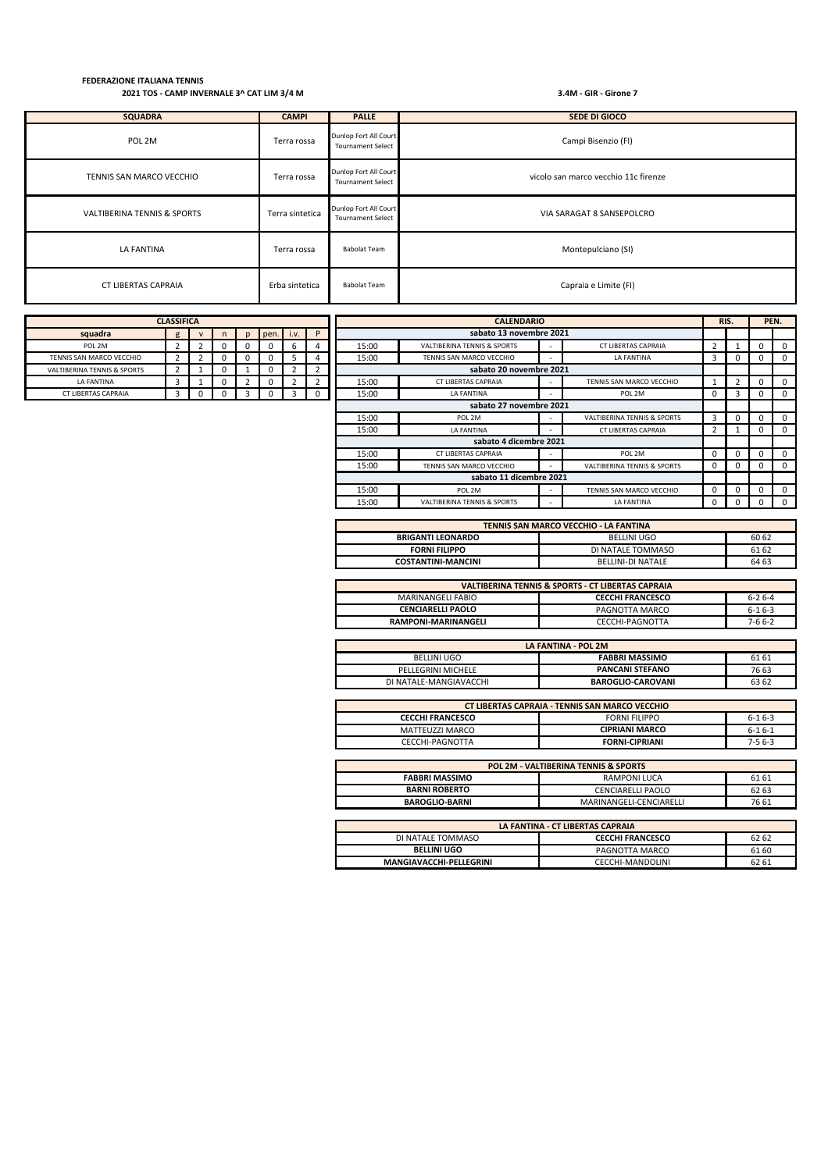CT LIBERTAS CAPRAIA Erba sintetica Babolat Team Capraia e Limite (FI) VALTIBERINA TENNIS & SPORTS Terra sintetica Dunlop Fort All Court All Court All Court Tournament Select VIA SARAGAT 8 SANSEPOLCRO LA FANTINA Terra rossa Babolat Team Montepulciano (SI) POL 2M Terra rossa Dunlop Fort All Court Court Court All Court Court Court Tournament Select Campi Bisenzio (FI) TENNIS SAN MARCO VECCHIO<br>Terra rossa Dunlop Fort All Court<br>Tournament Select vicolo san marco vecchio 11c firenze **SQUADRA CAMPI PALLE SEDE DI GIOCO**

| <b>CLASSIFICA</b>          |                |  |    |   |      | <b>CALENDARIO</b> |          |                         | RIS.                        |                          | PEN.                                   |                |   |  |                |
|----------------------------|----------------|--|----|---|------|-------------------|----------|-------------------------|-----------------------------|--------------------------|----------------------------------------|----------------|---|--|----------------|
| squadra                    | $\mathbf{g}$   |  | n. | D | pen. | i.v.              | P        |                         | sabato 13 novembre 2021     |                          |                                        |                |   |  |                |
| POL 2M                     | $\overline{2}$ |  | 0  |   |      | 6                 |          | 15:00                   | VALTIBERINA TENNIS & SPORTS |                          | CT LIBERTAS CAPRAIA                    | $\overline{2}$ |   |  | $\mathbf{0}$   |
| TENNIS SAN MARCO VECCHIO   | $\overline{2}$ |  | 0  |   |      | 5                 |          | 15:00                   | TENNIS SAN MARCO VECCHIO    |                          | LA FANTINA                             | 3              |   |  | $\mathbf{0}$   |
| ALTIBERINA TENNIS & SPORTS | 2              |  | U  |   |      | 2                 |          |                         | sabato 20 novembre 2021     |                          |                                        |                |   |  |                |
| LA FANTINA                 | 3              |  | 0  |   |      | $\overline{2}$    |          | 15:00                   | CT LIBERTAS CAPRAIA         | $\sim$                   | TENNIS SAN MARCO VECCHIO               |                |   |  | $\mathbf{0}$   |
| CT LIBERTAS CAPRAIA        | 3              |  | 0  |   |      | 3                 | $\Omega$ | 15:00                   | LA FANTINA                  |                          | POL 2M                                 | 0              | 3 |  | $\overline{0}$ |
| sabato 27 novembre 2021    |                |  |    |   |      |                   |          |                         |                             |                          |                                        |                |   |  |                |
|                            |                |  |    |   |      |                   |          | 15:00                   | POL 2M                      | $\overline{\phantom{a}}$ | <b>VALTIBERINA TENNIS &amp; SPORTS</b> | 3              |   |  | $\Omega$       |
|                            |                |  |    |   |      |                   |          | 15:00                   | LA FANTINA                  |                          | CT LIBERTAS CAPRAIA                    | 2              |   |  | $\overline{0}$ |
|                            |                |  |    |   |      |                   |          |                         | sabato 4 dicembre 2021      |                          |                                        |                |   |  |                |
|                            |                |  |    |   |      |                   |          | 15:00                   | CT LIBERTAS CAPRAIA         | $\overline{\phantom{0}}$ | POL 2M                                 | $\mathbf 0$    |   |  | $\Omega$       |
|                            |                |  |    |   |      |                   |          | 15:00                   | TENNIS SAN MARCO VECCHIO    |                          | <b>VALTIBERINA TENNIS &amp; SPORTS</b> | $\mathbf 0$    |   |  | $\mathbf{0}$   |
|                            |                |  |    |   |      |                   |          | sabato 11 dicembre 2021 |                             |                          |                                        |                |   |  |                |
|                            |                |  |    |   |      |                   |          | 15:00                   | POL 2M                      | $\overline{\phantom{a}}$ | TENNIS SAN MARCO VECCHIO               | $\mathbf 0$    |   |  | $\Omega$       |
|                            |                |  |    |   |      |                   |          | 15:00                   | VALTIBERINA TENNIS & SPORTS |                          | LA FANTINA                             | 0              |   |  | $\Omega$       |

| TENNIS SAN MARCO VECCHIO - LA FANTINA |                          |       |  |  |  |  |
|---------------------------------------|--------------------------|-------|--|--|--|--|
| <b>BRIGANTI LEONARDO</b>              | <b>BELLINI UGO</b>       | 60 62 |  |  |  |  |
| <b>FORNI FILIPPO</b>                  | DI NATALE TOMMASO        | 61 62 |  |  |  |  |
| <b>COSTANTINI-MANCINI</b>             | <b>BELLINI-DI NATALE</b> | 64 63 |  |  |  |  |
|                                       |                          |       |  |  |  |  |

| <b>VALTIBERINA TENNIS &amp; SPORTS - CT LIBERTAS CAPRAIA</b> |                         |              |  |  |  |  |
|--------------------------------------------------------------|-------------------------|--------------|--|--|--|--|
| MARINANGELI FABIO                                            | <b>CECCHI FRANCESCO</b> | $6 - 26 - 4$ |  |  |  |  |
| <b>CENCIARELLI PAOLO</b>                                     | PAGNOTTA MARCO          | $6-16-3$     |  |  |  |  |
| <b>RAMPONI-MARINANGELI</b>                                   | CECCHI-PAGNOTTA         | 7-6 6-2      |  |  |  |  |

| LA FANTINA - POL 2M    |                          |       |  |  |  |  |
|------------------------|--------------------------|-------|--|--|--|--|
| BELLINI UGO            | <b>FABBRI MASSIMO</b>    | 61 61 |  |  |  |  |
| PELLEGRINI MICHELE     | <b>PANCANI STEFANO</b>   | 76 63 |  |  |  |  |
| DI NATALE-MANGIAVACCHI | <b>BAROGLIO-CAROVANI</b> | 63 62 |  |  |  |  |

| <b>CT LIBERTAS CAPRAIA - TENNIS SAN MARCO VECCHIO</b> |                       |              |  |  |  |  |
|-------------------------------------------------------|-----------------------|--------------|--|--|--|--|
| <b>CECCHI FRANCESCO</b>                               | <b>FORNI FILIPPO</b>  | $6-16-3$     |  |  |  |  |
| MATTEUZZI MARCO                                       | <b>CIPRIANI MARCO</b> | $6 - 16 - 1$ |  |  |  |  |
| CECCHI-PAGNOTTA                                       | <b>FORNI-CIPRIANI</b> | $7-56-3$     |  |  |  |  |

| <b>POL 2M - VALTIBERINA TENNIS &amp; SPORTS</b> |                          |       |  |  |  |
|-------------------------------------------------|--------------------------|-------|--|--|--|
| <b>FABBRI MASSIMO</b>                           | <b>RAMPONI LUCA</b>      | 61 61 |  |  |  |
| <b>BARNI ROBERTO</b>                            | <b>CENCIARELLI PAOLO</b> | 62 63 |  |  |  |
| <b>BAROGLIO-BARNI</b>                           | MARINANGELI-CENCIARELLI  | 76 61 |  |  |  |
|                                                 |                          |       |  |  |  |

| LA FANTINA - CT LIBERTAS CAPRAIA                      |                  |       |  |  |  |  |
|-------------------------------------------------------|------------------|-------|--|--|--|--|
| <b>CECCHI FRANCESCO</b><br>DI NATALE TOMMASO<br>62 62 |                  |       |  |  |  |  |
| <b>BELLINI UGO</b>                                    | PAGNOTTA MARCO   | 61 60 |  |  |  |  |
| MANGIAVACCHI-PELLEGRINI                               | CECCHI-MANDOLINI | 62 61 |  |  |  |  |

| <b>CLASSIFICA</b>                      |   |              |   |   |      |      |  |  |
|----------------------------------------|---|--------------|---|---|------|------|--|--|
| squadra                                | g | $\mathsf{V}$ | n |   | pen. | i.v. |  |  |
| POL 2M                                 | 2 | 2            |   |   |      | ь    |  |  |
| TENNIS SAN MARCO VECCHIO               |   |              |   |   |      |      |  |  |
| <b>VALTIBERINA TENNIS &amp; SPORTS</b> |   |              | O |   |      |      |  |  |
| LA FANTINA                             | 3 |              |   |   |      |      |  |  |
| CT LIBERTAS CAPRAIA                    | 3 |              |   | ર |      |      |  |  |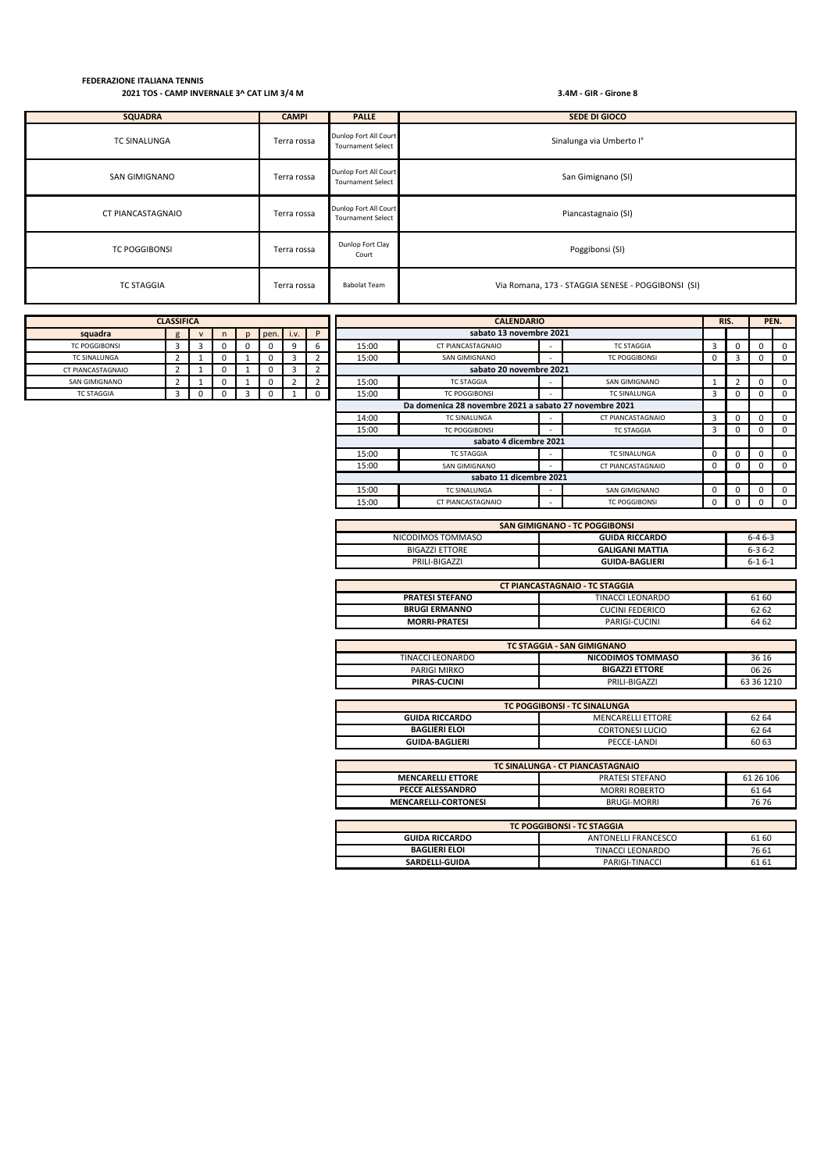| <b>SQUADRA</b>       | <b>CAMPI</b> | <b>PALLE</b>                                      | SEDE DI GIOCO                                      |
|----------------------|--------------|---------------------------------------------------|----------------------------------------------------|
| <b>TC SINALUNGA</b>  | Terra rossa  | Dunlop Fort All Court<br><b>Tournament Select</b> | Sinalunga via Umberto I°                           |
| SAN GIMIGNANO        | Terra rossa  | Dunlop Fort All Court<br><b>Tournament Select</b> | San Gimignano (SI)                                 |
| CT PIANCASTAGNAIO    | Terra rossa  | Dunlop Fort All Court<br><b>Tournament Select</b> | Piancastagnaio (SI)                                |
| <b>TC POGGIBONSI</b> | Terra rossa  | Dunlop Fort Clay<br>Court                         | Poggibonsi (SI)                                    |
| <b>TC STAGGIA</b>    | Terra rossa  | <b>Babolat Team</b>                               | Via Romana, 173 - STAGGIA SENESE - POGGIBONSI (SI) |

| <b>CLASSIFICA</b>    |   |   |   |  |      |      |   |  |
|----------------------|---|---|---|--|------|------|---|--|
| squadra              | g | v | n |  | pen. | i.v. | P |  |
| <b>TC POGGIBONSI</b> | 3 | 3 | O |  |      |      | ь |  |
| <b>TC SINALUNGA</b>  |   |   | 0 |  |      |      |   |  |
| CT PIANCASTAGNAIO    |   |   | 0 |  |      |      |   |  |
| SAN GIMIGNANO        |   |   | O |  |      |      |   |  |
| <b>TC STAGGIA</b>    |   | U | O |  |      |      |   |  |

| <b>CLASSIFICA</b>     |   |              |    |   |                                                        |      |                         |       | <b>CALENDARIO</b>       |                          |                      |   | RIS.     | PEN. |             |
|-----------------------|---|--------------|----|---|--------------------------------------------------------|------|-------------------------|-------|-------------------------|--------------------------|----------------------|---|----------|------|-------------|
| squadra               | g | $\mathsf{v}$ | n. | p | pen.                                                   | i.v. | P                       |       | sabato 13 novembre 2021 |                          |                      |   |          |      |             |
| <b>TC POGGIBONSI</b>  | 3 | 3            |    | 0 | 0                                                      | 9    | 6                       | 15:00 | CT PIANCASTAGNAIO       | $\overline{\phantom{0}}$ | <b>TC STAGGIA</b>    | 3 |          |      | $^{\circ}$  |
| <b>TC SINALUNGA</b>   |   |              |    |   | 0                                                      |      | $\overline{\mathbf{z}}$ | 15:00 | SAN GIMIGNANO           |                          | <b>TC POGGIBONSI</b> | 0 |          |      | $^{\circ}$  |
| <b>PIANCASTAGNAIO</b> |   |              |    |   | 0                                                      |      | 2                       |       | sabato 20 novembre 2021 |                          |                      |   |          |      |             |
| SAN GIMIGNANO         |   |              |    |   | 0                                                      |      | 2                       | 15:00 | <b>TC STAGGIA</b>       | $\overline{\phantom{0}}$ | SAN GIMIGNANO        |   |          | υ    | $\mathbf 0$ |
| <b>TC STAGGIA</b>     | 3 |              |    |   | $\Omega$                                               |      |                         | 15:00 | <b>TC POGGIBONSI</b>    |                          | <b>TC SINALUNGA</b>  | 3 |          |      | 0           |
|                       |   |              |    |   | Da domenica 28 novembre 2021 a sabato 27 novembre 2021 |      |                         |       |                         |                          |                      |   |          |      |             |
|                       |   |              |    |   |                                                        |      |                         | 14:00 | <b>TC SINALUNGA</b>     | $\overline{\phantom{a}}$ | CT PIANCASTAGNAIO    | 3 | $\Omega$ |      | $\Omega$    |
|                       |   |              |    |   |                                                        |      |                         | 15:00 | <b>TC POGGIBONSI</b>    |                          | <b>TC STAGGIA</b>    | 3 |          |      | $^{\circ}$  |
|                       |   |              |    |   |                                                        |      | sabato 4 dicembre 2021  |       |                         |                          |                      |   |          |      |             |
|                       |   |              |    |   |                                                        |      |                         | 15:00 | <b>TC STAGGIA</b>       | $\overline{\phantom{a}}$ | <b>TC SINALUNGA</b>  | 0 |          |      | $\Omega$    |
|                       |   |              |    |   |                                                        |      |                         | 15:00 | SAN GIMIGNANO           | $\overline{\phantom{a}}$ | CT PIANCASTAGNAIO    | 0 |          |      | $^{\circ}$  |
|                       |   |              |    |   |                                                        |      | sabato 11 dicembre 2021 |       |                         |                          |                      |   |          |      |             |
|                       |   |              |    |   |                                                        |      |                         | 15:00 | <b>TC SINALUNGA</b>     |                          | SAN GIMIGNANO        | 0 |          |      | $\mathbf 0$ |
|                       |   |              |    |   |                                                        |      |                         | 15:00 | CT PIANCASTAGNAIO       |                          | <b>TC POGGIBONSI</b> | 0 |          |      | $\Omega$    |

| SAN GIMIGNANO - TC POGGIBONSI |                        |              |  |  |  |  |
|-------------------------------|------------------------|--------------|--|--|--|--|
| NICODIMOS TOMMASO             | <b>GUIDA RICCARDO</b>  | $6-46-3$     |  |  |  |  |
| <b>BIGAZZI ETTORE</b>         | <b>GALIGANI MATTIA</b> | $6 - 36 - 2$ |  |  |  |  |
| PRILI-BIGAZZI                 | <b>GUIDA-BAGLIERI</b>  | $6 - 16 - 1$ |  |  |  |  |

| <b>CT PIANCASTAGNAIO - TC STAGGIA</b> |                  |       |  |  |  |  |
|---------------------------------------|------------------|-------|--|--|--|--|
| <b>PRATESI STEFANO</b>                | TINACCI LEONARDO | 61 60 |  |  |  |  |
| <b>BRUGI ERMANNO</b>                  | CUCINI FEDERICO  | 62 62 |  |  |  |  |
| <b>MORRI-PRATESI</b>                  | PARIGI-CUCINI    | 64 62 |  |  |  |  |

| <b>TC STAGGIA - SAN GIMIGNANO</b> |                       |            |  |  |  |  |  |
|-----------------------------------|-----------------------|------------|--|--|--|--|--|
| TINACCI LEONARDO                  | NICODIMOS TOMMASO     | 36 16      |  |  |  |  |  |
| PARIGI MIRKO                      | <b>BIGAZZI ETTORE</b> | 06 26      |  |  |  |  |  |
| PIRAS-CUCINI                      | PRILI-BIGAZZI         | 63 36 1210 |  |  |  |  |  |

| TC POGGIBONSI - TC SINALUNGA |                          |       |  |  |  |  |
|------------------------------|--------------------------|-------|--|--|--|--|
| <b>GUIDA RICCARDO</b>        | <b>MENCARELLI ETTORE</b> | 62 64 |  |  |  |  |
| <b>BAGLIERI ELOI</b>         | CORTONESI LUCIO          | 62 64 |  |  |  |  |
| <b>GUIDA-BAGLIERI</b>        | PECCE-LANDI              | 60 63 |  |  |  |  |

| TC SINALUNGA - CT PIANCASTAGNAIO                             |                    |       |  |  |  |  |
|--------------------------------------------------------------|--------------------|-------|--|--|--|--|
| 61 26 106<br>PRATESI STEFANO<br><b>MENCARELLI ETTORE</b>     |                    |       |  |  |  |  |
| PECCE ALESSANDRO                                             | MORRI ROBERTO      | 61 64 |  |  |  |  |
| <b>MENCARELLI-CORTONESI</b>                                  | <b>BRUGI-MORRI</b> | 7676  |  |  |  |  |
|                                                              |                    |       |  |  |  |  |
| <b>TC POGGIBONSI - TC STAGGIA</b>                            |                    |       |  |  |  |  |
| <b>GUIDA RICCARDO</b><br><b>ANTONELLI FRANCESCO</b><br>61 60 |                    |       |  |  |  |  |

**BAGLIERI ELOI** 76 61 **SARDELLI-GUIDA** PARIGI-TINACCI 61 61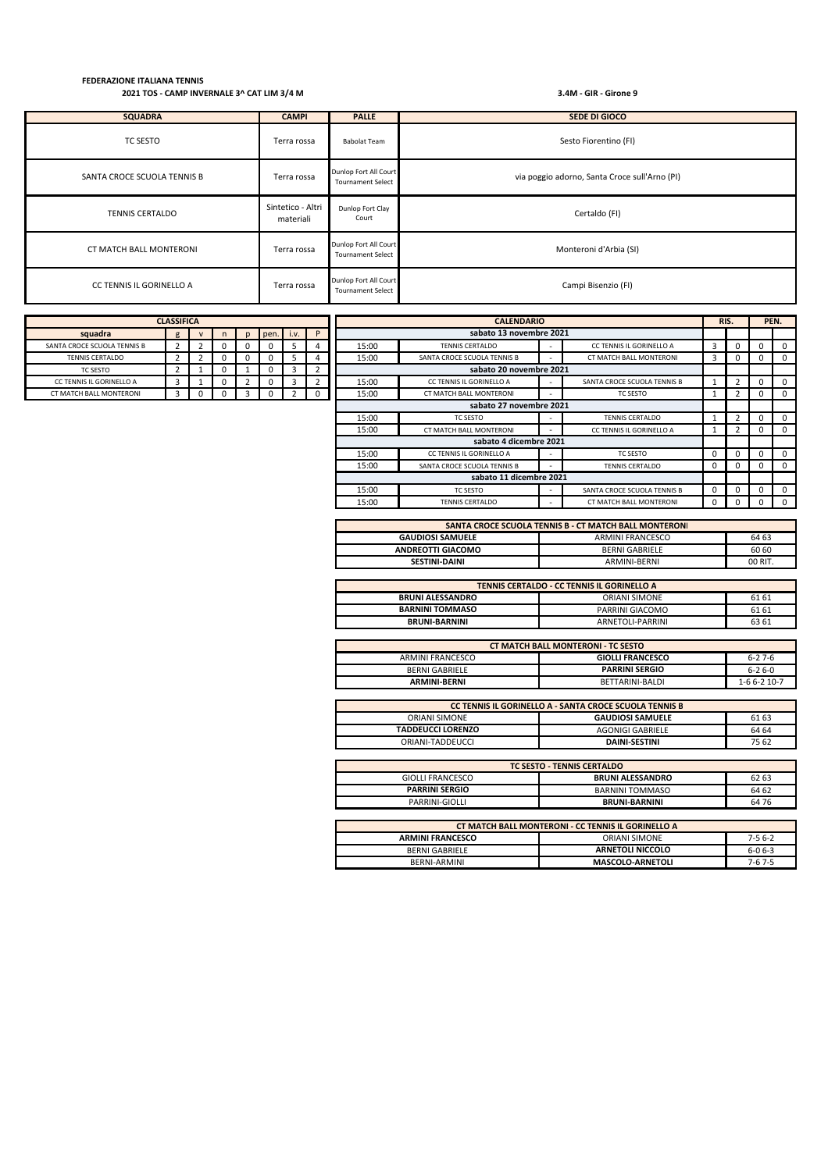| <b>SQUADRA</b>              | <b>CAMPI</b>                   | <b>PALLE</b>                                      | SEDE DI GIOCO                                 |
|-----------------------------|--------------------------------|---------------------------------------------------|-----------------------------------------------|
| TC SESTO                    | Terra rossa                    | <b>Babolat Team</b>                               | Sesto Fiorentino (FI)                         |
| SANTA CROCE SCUOLA TENNIS B | Terra rossa                    | Dunlop Fort All Court<br><b>Tournament Select</b> | via poggio adorno, Santa Croce sull'Arno (PI) |
| <b>TENNIS CERTALDO</b>      | Sintetico - Altri<br>materiali | Dunlop Fort Clay<br>Court                         | Certaldo (FI)                                 |
| CT MATCH BALL MONTERONI     | Terra rossa                    | Dunlop Fort All Court<br><b>Tournament Select</b> | Monteroni d'Arbia (SI)                        |
| CC TENNIS IL GORINELLO A    | Terra rossa                    | Dunlop Fort All Court<br><b>Tournament Select</b> | Campi Bisenzio (FI)                           |

| <b>CLASSIFICA</b>          |                |  |   |              |      |      | <b>CALENDARIO</b> |       |                             | RIS. |                             | PEN.        |          |          |                |
|----------------------------|----------------|--|---|--------------|------|------|-------------------|-------|-----------------------------|------|-----------------------------|-------------|----------|----------|----------------|
| squadra                    | g              |  | n | $\mathsf{D}$ | pen. | i.v. | P                 |       | sabato 13 novembre 2021     |      |                             |             |          |          |                |
| ANTA CROCE SCUOLA TENNIS B | $\overline{2}$ |  | υ | 0            |      | 5    | 4                 | 15:00 | <b>TENNIS CERTALDO</b>      |      | CC TENNIS IL GORINELLO A    | 3           | 0        | 0        | $^{\circ}$     |
| <b>TENNIS CERTALDO</b>     | $\overline{2}$ |  | 0 | 0            |      | 5    | 4                 | 15:00 | SANTA CROCE SCUOLA TENNIS B |      | CT MATCH BALL MONTERONI     | 3           | 0        | 0        | 0              |
| TC SESTO                   | 2              |  | 0 |              |      | 3    | $\overline{2}$    |       | sabato 20 novembre 2021     |      |                             |             |          |          |                |
| CC TENNIS IL GORINELLO A   | 3              |  | 0 |              |      | 3    | $\overline{2}$    | 15:00 | CC TENNIS IL GORINELLO A    |      | SANTA CROCE SCUOLA TENNIS B |             |          | 0        | 0              |
| CT MATCH BALL MONTERONI    | 3              |  |   | 3            |      |      | $\Omega$          | 15:00 | CT MATCH BALL MONTERONI     |      | TC SESTO                    |             |          | 0        | 0              |
| sabato 27 novembre 2021    |                |  |   |              |      |      |                   |       |                             |      |                             |             |          |          |                |
|                            |                |  |   |              |      |      |                   | 15:00 | TC SESTO                    |      | <b>TENNIS CERTALDO</b>      |             |          | 0        |                |
|                            |                |  |   |              |      |      |                   | 15:00 | CT MATCH BALL MONTERONI     |      | CC TENNIS IL GORINELLO A    | 1           |          | 0        | $\overline{0}$ |
|                            |                |  |   |              |      |      |                   |       | sabato 4 dicembre 2021      |      |                             |             |          |          |                |
|                            |                |  |   |              |      |      |                   | 15:00 | CC TENNIS IL GORINELLO A    |      | TC SESTO                    | $\Omega$    | n        | $\Omega$ | $\Omega$       |
|                            |                |  |   |              |      |      |                   | 15:00 | SANTA CROCE SCUOLA TENNIS B |      | <b>TENNIS CERTALDO</b>      | $\mathbf 0$ | 0        | 0        | $\mathbf 0$    |
|                            |                |  |   |              |      |      |                   |       | sabato 11 dicembre 2021     |      |                             |             |          |          |                |
|                            |                |  |   |              |      |      |                   | 15:00 | TC SESTO                    |      | SANTA CROCE SCUOLA TENNIS B | 0           | $\Omega$ | 0        | $\Omega$       |
|                            |                |  |   |              |      |      |                   | 15:00 | <b>TENNIS CERTALDO</b>      |      | CT MATCH BALL MONTERONI     | $\Omega$    |          |          | $\Omega$       |

| SANTA CROCE SCUOLA TENNIS B - CT MATCH BALL MONTERONI |                       |         |  |  |  |  |
|-------------------------------------------------------|-----------------------|---------|--|--|--|--|
| <b>GAUDIOSI SAMUELE</b>                               | ARMINI FRANCESCO      | 64 63   |  |  |  |  |
| <b>ANDREOTTI GIACOMO</b>                              | <b>BERNI GABRIELE</b> | 60 60   |  |  |  |  |
| <b>SESTINI-DAINI</b>                                  | ARMINI-BERNI          | 00 RIT. |  |  |  |  |

| TENNIS CERTALDO - CC TENNIS IL GORINELLO A |                  |       |  |  |  |  |
|--------------------------------------------|------------------|-------|--|--|--|--|
| <b>BRUNI ALESSANDRO</b>                    | ORIANI SIMONE    | 61 61 |  |  |  |  |
| <b>BARNINI TOMMASO</b>                     | PARRINI GIACOMO  | 61 61 |  |  |  |  |
| <b>BRUNI-BARNINI</b>                       | ARNETOLI-PARRINI | 63 61 |  |  |  |  |

| <b>CT MATCH BALL MONTERONI - TC SESTO</b> |                         |                    |  |  |  |  |  |
|-------------------------------------------|-------------------------|--------------------|--|--|--|--|--|
| ARMINI FRANCESCO                          | <b>GIOLLI FRANCESCO</b> | $6 - 27 - 6$       |  |  |  |  |  |
| BERNI GABRIELE                            | <b>PARRINI SERGIO</b>   | $6 - 26 - 0$       |  |  |  |  |  |
| <b>ARMINI-BERNI</b>                       | BETTARINI-BALDI         | $1 - 66 - 210 - 7$ |  |  |  |  |  |

| CC TENNIS IL GORINELLO A - SANTA CROCE SCUOLA TENNIS B |                         |       |  |  |  |  |  |  |
|--------------------------------------------------------|-------------------------|-------|--|--|--|--|--|--|
| ORIANI SIMONE                                          | <b>GAUDIOSI SAMUELE</b> | 61 63 |  |  |  |  |  |  |
| <b>TADDEUCCI LORENZO</b>                               | AGONIGI GABRIELE        | 64 64 |  |  |  |  |  |  |
| ORIANI-TADDEUCCL                                       | <b>DAINI-SESTINI</b>    | 75 62 |  |  |  |  |  |  |

| <b>TC SESTO - TENNIS CERTALDO</b>                         |                         |       |  |  |  |  |  |
|-----------------------------------------------------------|-------------------------|-------|--|--|--|--|--|
| <b>GIOLLI FRANCESCO</b>                                   | <b>BRUNI ALESSANDRO</b> | 62 63 |  |  |  |  |  |
| <b>PARRINI SERGIO</b>                                     | <b>BARNINI TOMMASO</b>  | 64 62 |  |  |  |  |  |
| PARRINI-GIOLLI                                            | <b>BRUNI-BARNINI</b>    | 64 76 |  |  |  |  |  |
|                                                           |                         |       |  |  |  |  |  |
| <b>CT MATCH BALL MONTERONI - CC TENNIS IL GORINELLO A</b> |                         |       |  |  |  |  |  |

| <u>CHIVIATCH DALL IVION I LIVONI - CC TENNIS IL GOMNELLO A</u> |                         |              |  |  |  |  |
|----------------------------------------------------------------|-------------------------|--------------|--|--|--|--|
| <b>ARMINI FRANCESCO</b>                                        | ORIANI SIMONE           | 7-5 6-2      |  |  |  |  |
| BERNI GABRIELE                                                 | <b>ARNETOLI NICCOLO</b> | $6 - 06 - 3$ |  |  |  |  |
| BERNI-ARMINI                                                   | MASCOLO-ARNETOLI        | $7-67-5$     |  |  |  |  |